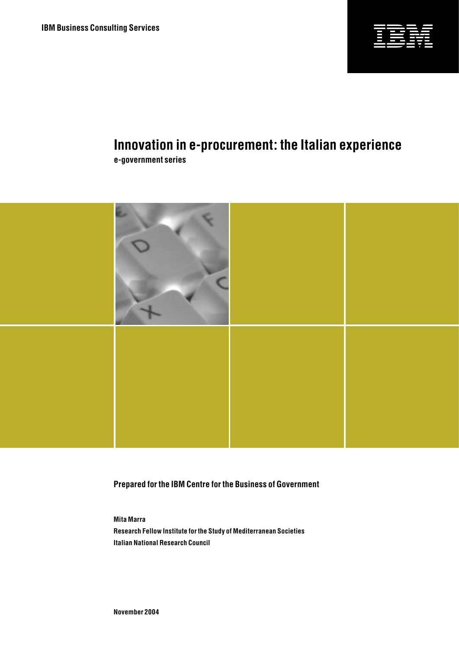

# **Innovation in e-procurement: the Italian experience**

**e-government series**



**Prepared for the IBM Centre for the Business of Government**

**Mita Marra Research Fellow Institute for the Study of Mediterranean Societies Italian National Research Council**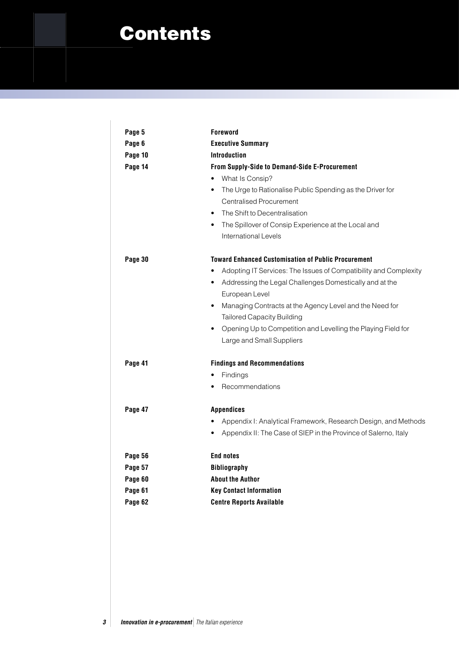## Contents

| Page 5  | <b>Foreword</b>                                                             |  |  |
|---------|-----------------------------------------------------------------------------|--|--|
| Page 6  | <b>Executive Summary</b>                                                    |  |  |
| Page 10 | <b>Introduction</b>                                                         |  |  |
| Page 14 | From Supply-Side to Demand-Side E-Procurement                               |  |  |
|         | What Is Consip?<br>٠                                                        |  |  |
|         | The Urge to Rationalise Public Spending as the Driver for<br>$\bullet$      |  |  |
|         | <b>Centralised Procurement</b>                                              |  |  |
|         | The Shift to Decentralisation<br>$\bullet$                                  |  |  |
|         | The Spillover of Consip Experience at the Local and<br>$\bullet$            |  |  |
|         | International Levels                                                        |  |  |
| Page 30 | <b>Toward Enhanced Customisation of Public Procurement</b>                  |  |  |
|         | Adopting IT Services: The Issues of Compatibility and Complexity            |  |  |
|         | Addressing the Legal Challenges Domestically and at the<br>٠                |  |  |
|         | European Level                                                              |  |  |
|         | Managing Contracts at the Agency Level and the Need for<br>٠                |  |  |
|         | <b>Tailored Capacity Building</b>                                           |  |  |
|         | Opening Up to Competition and Levelling the Playing Field for<br>$\bullet$  |  |  |
|         | Large and Small Suppliers                                                   |  |  |
| Page 41 | <b>Findings and Recommendations</b>                                         |  |  |
|         | Findings<br>$\bullet$                                                       |  |  |
|         | Recommendations<br>٠                                                        |  |  |
| Page 47 | <b>Appendices</b>                                                           |  |  |
|         | Appendix I: Analytical Framework, Research Design, and Methods<br>$\bullet$ |  |  |
|         | Appendix II: The Case of SIEP in the Province of Salerno, Italy<br>٠        |  |  |
| Page 56 | <b>End notes</b>                                                            |  |  |
| Page 57 | <b>Bibliography</b>                                                         |  |  |
| Page 60 | <b>About the Author</b>                                                     |  |  |
| Page 61 | <b>Key Contact Information</b>                                              |  |  |
| Page 62 | <b>Centre Reports Available</b>                                             |  |  |
|         |                                                                             |  |  |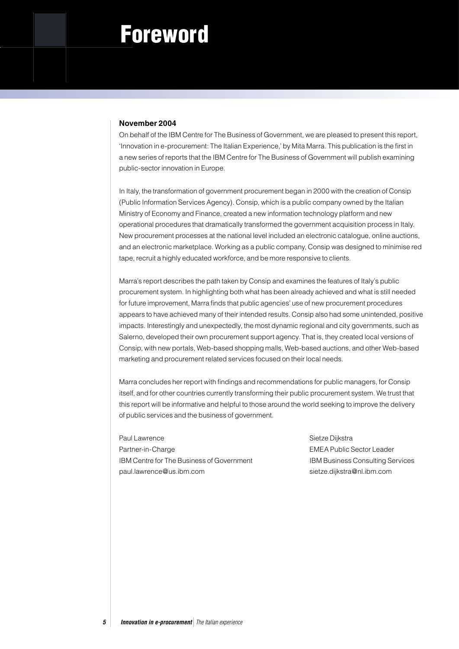# Foreword

#### **November 2004**

On behalf of the IBM Centre for The Business of Government, we are pleased to present this report, 'Innovation in e-procurement: The Italian Experience,' by Mita Marra. This publication is the first in a new series of reports that the IBM Centre for The Business of Government will publish examining public-sector innovation in Europe.

In Italy, the transformation of government procurement began in 2000 with the creation of Consip (Public Information Services Agency). Consip, which is a public company owned by the Italian Ministry of Economy and Finance, created a new information technology platform and new operational procedures that dramatically transformed the government acquisition process in Italy. New procurement processes at the national level included an electronic catalogue, online auctions, and an electronic marketplace. Working as a public company, Consip was designed to minimise red tape, recruit a highly educated workforce, and be more responsive to clients.

Marra's report describes the path taken by Consip and examines the features of Italy's public procurement system. In highlighting both what has been already achieved and what is still needed for future improvement, Marra finds that public agencies' use of new procurement procedures appears to have achieved many of their intended results. Consip also had some unintended, positive impacts. Interestingly and unexpectedly, the most dynamic regional and city governments, such as Salerno, developed their own procurement support agency. That is, they created local versions of Consip, with new portals, Web-based shopping malls, Web-based auctions, and other Web-based marketing and procurement related services focused on their local needs.

Marra concludes her report with findings and recommendations for public managers, for Consip itself, and for other countries currently transforming their public procurement system. We trust that this report will be informative and helpful to those around the world seeking to improve the delivery of public services and the business of government.

Paul Lawrence **Sietze Dijkstra** Partner-in-Charge **EMEA Public Sector Leader** EMEA Public Sector Leader IBM Centre for The Business of Government IBM Business Consulting Services paul.lawrence@us.ibm.com sietze.dijkstra@nl.ibm.com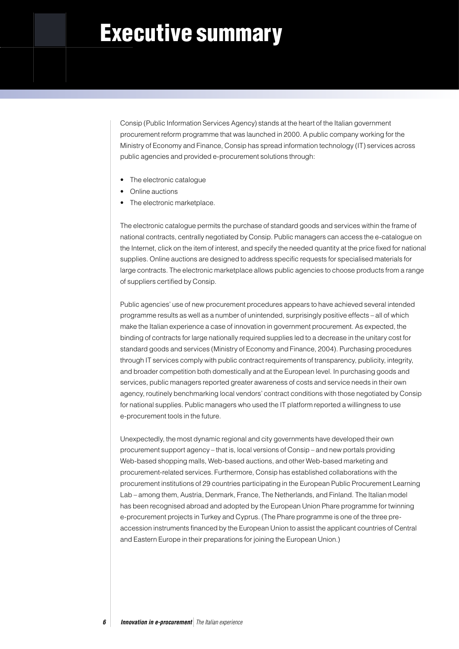# Executive summary

Consip (Public Information Services Agency) stands at the heart of the Italian government procurement reform programme that was launched in 2000. A public company working for the Ministry of Economy and Finance, Consip has spread information technology (IT) services across public agencies and provided e-procurement solutions through:

- The electronic catalogue
- Online auctions
- The electronic marketplace.

The electronic catalogue permits the purchase of standard goods and services within the frame of national contracts, centrally negotiated by Consip. Public managers can access the e-catalogue on the Internet, click on the item of interest, and specify the needed quantity at the price fixed for national supplies. Online auctions are designed to address specific requests for specialised materials for large contracts. The electronic marketplace allows public agencies to choose products from a range of suppliers certified by Consip.

Public agencies' use of new procurement procedures appears to have achieved several intended programme results as well as a number of unintended, surprisingly positive effects – all of which make the Italian experience a case of innovation in government procurement. As expected, the binding of contracts for large nationally required supplies led to a decrease in the unitary cost for standard goods and services (Ministry of Economy and Finance, 2004). Purchasing procedures through IT services comply with public contract requirements of transparency, publicity, integrity, and broader competition both domestically and at the European level. In purchasing goods and services, public managers reported greater awareness of costs and service needs in their own agency, routinely benchmarking local vendors' contract conditions with those negotiated by Consip for national supplies. Public managers who used the IT platform reported a willingness to use e-procurement tools in the future.

Unexpectedly, the most dynamic regional and city governments have developed their own procurement support agency – that is, local versions of Consip – and new portals providing Web-based shopping malls, Web-based auctions, and other Web-based marketing and procurement-related services. Furthermore, Consip has established collaborations with the procurement institutions of 29 countries participating in the European Public Procurement Learning Lab – among them, Austria, Denmark, France, The Netherlands, and Finland. The Italian model has been recognised abroad and adopted by the European Union Phare programme for twinning e-procurement projects in Turkey and Cyprus. (The Phare programme is one of the three preaccession instruments financed by the European Union to assist the applicant countries of Central and Eastern Europe in their preparations for joining the European Union.)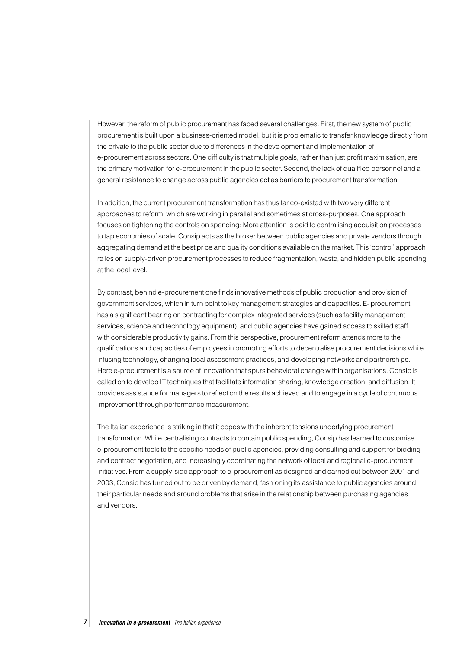However, the reform of public procurement has faced several challenges. First, the new system of public procurement is built upon a business-oriented model, but it is problematic to transfer knowledge directly from the private to the public sector due to differences in the development and implementation of e-procurement across sectors. One difficulty is that multiple goals, rather than just profit maximisation, are the primary motivation for e-procurement in the public sector. Second, the lack of qualified personnel and a general resistance to change across public agencies act as barriers to procurement transformation.

In addition, the current procurement transformation has thus far co-existed with two very different approaches to reform, which are working in parallel and sometimes at cross-purposes. One approach focuses on tightening the controls on spending: More attention is paid to centralising acquisition processes to tap economies of scale. Consip acts as the broker between public agencies and private vendors through aggregating demand at the best price and quality conditions available on the market. This 'control' approach relies on supply-driven procurement processes to reduce fragmentation, waste, and hidden public spending at the local level.

By contrast, behind e-procurement one finds innovative methods of public production and provision of government services, which in turn point to key management strategies and capacities. E- procurement has a significant bearing on contracting for complex integrated services (such as facility management services, science and technology equipment), and public agencies have gained access to skilled staff with considerable productivity gains. From this perspective, procurement reform attends more to the qualifications and capacities of employees in promoting efforts to decentralise procurement decisions while infusing technology, changing local assessment practices, and developing networks and partnerships. Here e-procurement is a source of innovation that spurs behavioral change within organisations. Consip is called on to develop IT techniques that facilitate information sharing, knowledge creation, and diffusion. It provides assistance for managers to reflect on the results achieved and to engage in a cycle of continuous improvement through performance measurement.

The Italian experience is striking in that it copes with the inherent tensions underlying procurement transformation. While centralising contracts to contain public spending, Consip has learned to customise e-procurement tools to the specific needs of public agencies, providing consulting and support for bidding and contract negotiation, and increasingly coordinating the network of local and regional e-procurement initiatives. From a supply-side approach to e-procurement as designed and carried out between 2001 and 2003, Consip has turned out to be driven by demand, fashioning its assistance to public agencies around their particular needs and around problems that arise in the relationship between purchasing agencies and vendors.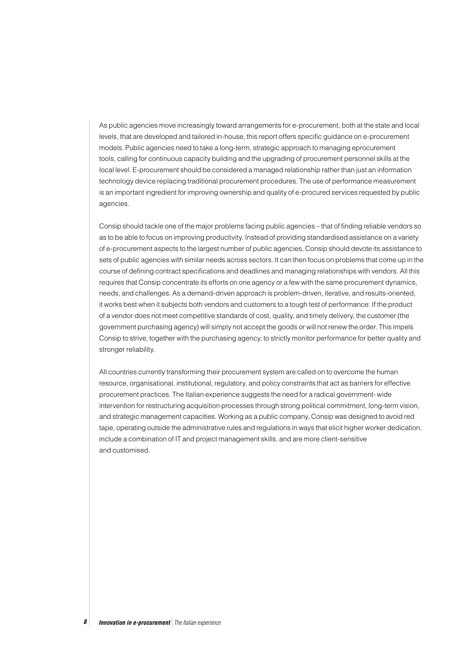As public agencies move increasingly toward arrangements for e-procurement, both at the state and local levels, that are developed and tailored in-house, this report offers specific guidance on e-procurement models. Public agencies need to take a long-term, strategic approach to managing eprocurement tools, calling for continuous capacity building and the upgrading of procurement personnel skills at the local level. E-procurement should be considered a managed relationship rather than just an information technology device replacing traditional procurement procedures. The use of performance measurement is an important ingredient for improving ownership and quality of e-procured services requested by public agencies.

Consip should tackle one of the major problems facing public agencies – that of finding reliable vendors so as to be able to focus on improving productivity. Instead of providing standardised assistance on a variety of e-procurement aspects to the largest number of public agencies, Consip should devote its assistance to sets of public agencies with similar needs across sectors. It can then focus on problems that come up in the course of defining contract specifications and deadlines and managing relationships with vendors. All this requires that Consip concentrate its efforts on one agency or a few with the same procurement dynamics, needs, and challenges. As a demand-driven approach is problem-driven, iterative, and results-oriented, it works best when it subjects both vendors and customers to a tough test of performance: If the product of a vendor does not meet competitive standards of cost, quality, and timely delivery, the customer (the government purchasing agency) will simply not accept the goods or will not renew the order. This impels Consip to strive, together with the purchasing agency, to strictly monitor performance for better quality and stronger reliability.

All countries currently transforming their procurement system are called on to overcome the human resource, organisational, institutional, regulatory, and policy constraints that act as barriers for effective procurement practices. The Italian experience suggests the need for a radical government- wide intervention for restructuring acquisition processes through strong political commitment, long-term vision, and strategic management capacities. Working as a public company, Consip was designed to avoid red tape, operating outside the administrative rules and regulations in ways that elicit higher worker dedication, include a combination of IT and project management skills, and are more client-sensitive and customised.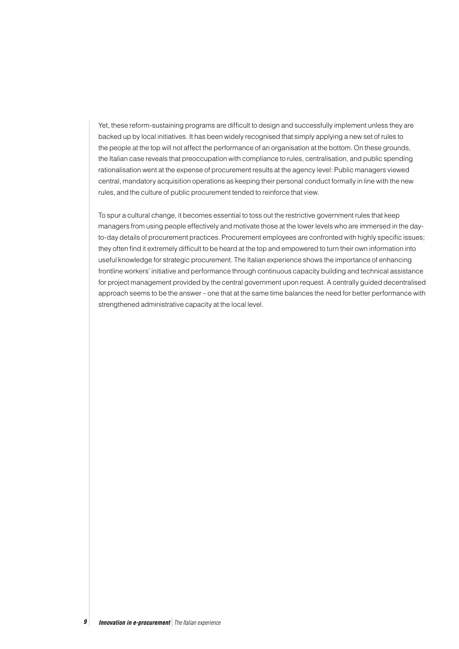Yet, these reform-sustaining programs are difficult to design and successfully implement unless they are backed up by local initiatives. It has been widely recognised that simply applying a new set of rules to the people at the top will not affect the performance of an organisation at the bottom. On these grounds, the Italian case reveals that preoccupation with compliance to rules, centralisation, and public spending rationalisation went at the expense of procurement results at the agency level: Public managers viewed central, mandatory acquisition operations as keeping their personal conduct formally in line with the new rules, and the culture of public procurement tended to reinforce that view.

To spur a cultural change, it becomes essential to toss out the restrictive government rules that keep managers from using people effectively and motivate those at the lower levels who are immersed in the dayto-day details of procurement practices. Procurement employees are confronted with highly specific issues; they often find it extremely difficult to be heard at the top and empowered to turn their own information into useful knowledge for strategic procurement. The Italian experience shows the importance of enhancing frontline workers' initiative and performance through continuous capacity building and technical assistance for project management provided by the central government upon request. A centrally guided decentralised approach seems to be the answer – one that at the same time balances the need for better performance with strengthened administrative capacity at the local level.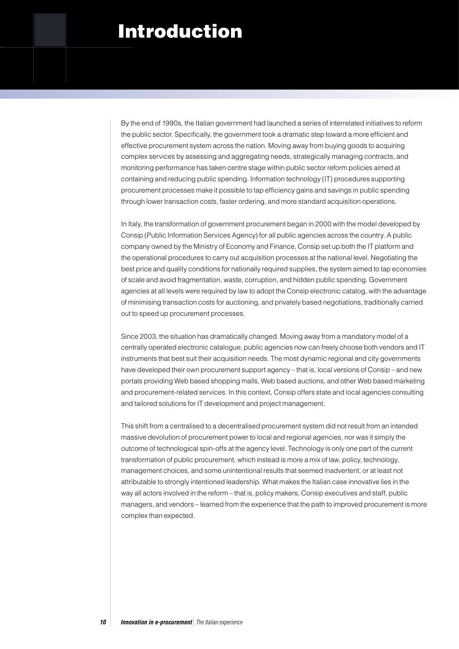## Introduction

By the end of 1990s, the Italian government had launched a series of interrelated initiatives to reform the public sector. Specifically, the government took a dramatic step toward a more efficient and effective procurement system across the nation. Moving away from buying goods to acquiring complex services by assessing and aggregating needs, strategically managing contracts, and monitoring performance has taken centre stage within public sector reform policies aimed at containing and reducing public spending. Information technology (IT) procedures supporting procurement processes make it possible to tap efficiency gains and savings in public spending through lower transaction costs, faster ordering, and more standard acquisition operations.

In Italy, the transformation of government procurement began in 2000 with the model developed by Consip (Public Information Services Agency) for all public agencies across the country. A public company owned by the Ministry of Economy and Finance, Consip set up both the IT platform and the operational procedures to carry out acquisition processes at the national level. Negotiating the best price and quality conditions for nationally required supplies, the system aimed to tap economies of scale and avoid fragmentation, waste, corruption, and hidden public spending. Government agencies at all levels were required by law to adopt the Consip electronic catalog, with the advantage of minimising transaction costs for auctioning, and privately based negotiations, traditionally carried out to speed up procurement processes.

Since 2003, the situation has dramatically changed. Moving away from a mandatory model of a centrally operated electronic catalogue, public agencies now can freely choose both vendors and IT instruments that best suit their acquisition needs. The most dynamic regional and city governments have developed their own procurement support agency – that is, local versions of Consip – and new portals providing Web based shopping malls, Web based auctions, and other Web based marketing and procurement-related services. In this context, Consip offers state and local agencies consulting and tailored solutions for IT development and project management.

This shift from a centralised to a decentralised procurement system did not result from an intended massive devolution of procurement power to local and regional agencies, nor was it simply the outcome of technological spin-offs at the agency level. Technology is only one part of the current transformation of public procurement, which instead is more a mix of law, policy, technology, management choices, and some unintentional results that seemed inadvertent, or at least not attributable to strongly intentioned leadership. What makes the Italian case innovative lies in the way all actors involved in the reform – that is, policy makers, Consip executives and staff, public managers, and vendors – learned from the experience that the path to improved procurement is more complex than expected.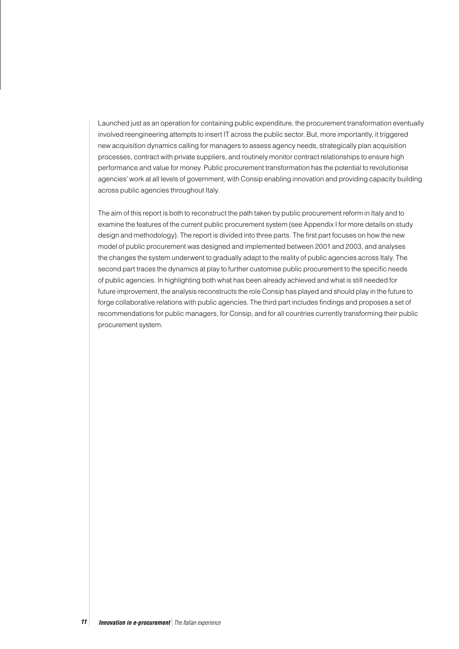Launched just as an operation for containing public expenditure, the procurement transformation eventually involved reengineering attempts to insert IT across the public sector. But, more importantly, it triggered new acquisition dynamics calling for managers to assess agency needs, strategically plan acquisition processes, contract with private suppliers, and routinely monitor contract relationships to ensure high performance and value for money. Public procurement transformation has the potential to revolutionise agencies' work at all levels of government, with Consip enabling innovation and providing capacity building across public agencies throughout Italy.

The aim of this report is both to reconstruct the path taken by public procurement reform in Italy and to examine the features of the current public procurement system (see Appendix I for more details on study design and methodology). The report is divided into three parts. The first part focuses on how the new model of public procurement was designed and implemented between 2001 and 2003, and analyses the changes the system underwent to gradually adapt to the reality of public agencies across Italy. The second part traces the dynamics at play to further customise public procurement to the specific needs of public agencies. In highlighting both what has been already achieved and what is still needed for future improvement, the analysis reconstructs the role Consip has played and should play in the future to forge collaborative relations with public agencies. The third part includes findings and proposes a set of recommendations for public managers, for Consip, and for all countries currently transforming their public procurement system.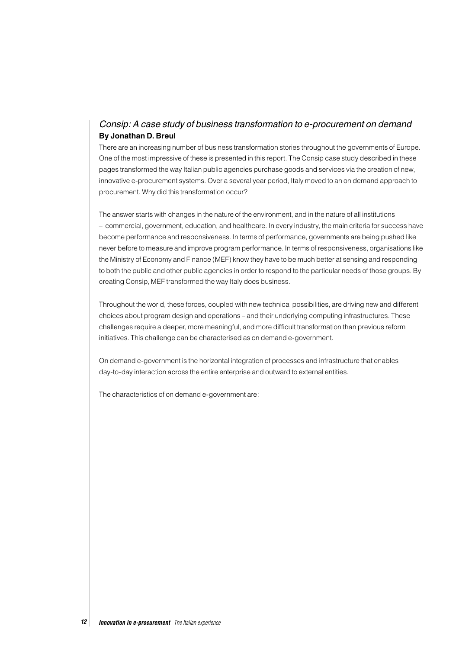## Consip: A case study of business transformation to e-procurement on demand **By Jonathan D. Breul**

There are an increasing number of business transformation stories throughout the governments of Europe. One of the most impressive of these is presented in this report. The Consip case study described in these pages transformed the way Italian public agencies purchase goods and services via the creation of new, innovative e-procurement systems. Over a several year period, Italy moved to an on demand approach to procurement. Why did this transformation occur?

The answer starts with changes in the nature of the environment, and in the nature of all institutions – commercial, government, education, and healthcare. In every industry, the main criteria for success have become performance and responsiveness. In terms of performance, governments are being pushed like never before to measure and improve program performance. In terms of responsiveness, organisations like the Ministry of Economy and Finance (MEF) know they have to be much better at sensing and responding to both the public and other public agencies in order to respond to the particular needs of those groups. By creating Consip, MEF transformed the way Italy does business.

Throughout the world, these forces, coupled with new technical possibilities, are driving new and different choices about program design and operations – and their underlying computing infrastructures. These challenges require a deeper, more meaningful, and more difficult transformation than previous reform initiatives. This challenge can be characterised as on demand e-government.

On demand e-government is the horizontal integration of processes and infrastructure that enables day-to-day interaction across the entire enterprise and outward to external entities.

The characteristics of on demand e-government are: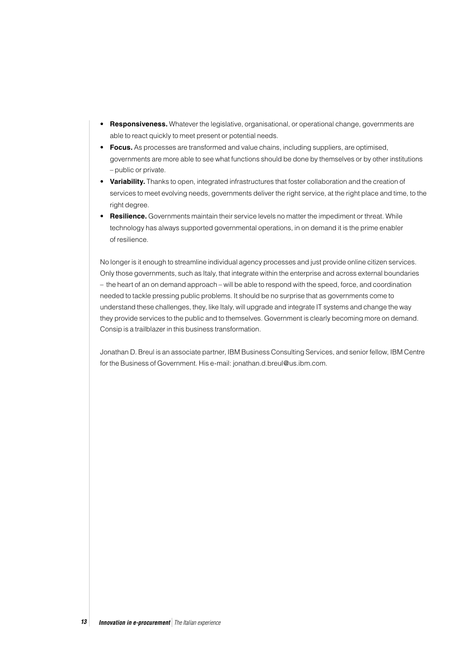- **Responsiveness.** Whatever the legislative, organisational, or operational change, governments are able to react quickly to meet present or potential needs.
- **Focus.** As processes are transformed and value chains, including suppliers, are optimised, governments are more able to see what functions should be done by themselves or by other institutions – public or private.
- **Variability.** Thanks to open, integrated infrastructures that foster collaboration and the creation of services to meet evolving needs, governments deliver the right service, at the right place and time, to the right degree.
- **Resilience.** Governments maintain their service levels no matter the impediment or threat. While technology has always supported governmental operations, in on demand it is the prime enabler of resilience.

No longer is it enough to streamline individual agency processes and just provide online citizen services. Only those governments, such as Italy, that integrate within the enterprise and across external boundaries – the heart of an on demand approach – will be able to respond with the speed, force, and coordination needed to tackle pressing public problems. It should be no surprise that as governments come to understand these challenges, they, like Italy, will upgrade and integrate IT systems and change the way they provide services to the public and to themselves. Government is clearly becoming more on demand. Consip is a trailblazer in this business transformation.

Jonathan D. Breul is an associate partner, IBM Business Consulting Services, and senior fellow, IBM Centre for the Business of Government. His e-mail: jonathan.d.breul@us.ibm.com.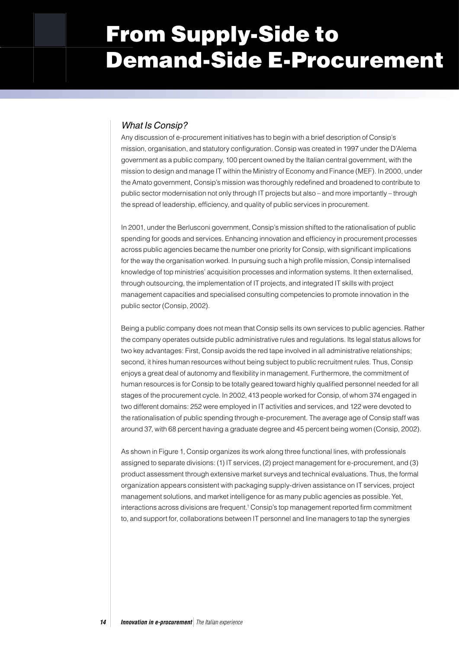# From Supply-Side to Demand-Side E-Procurement

## What Is Consip?

Any discussion of e-procurement initiatives has to begin with a brief description of Consip's mission, organisation, and statutory configuration. Consip was created in 1997 under the D'Alema government as a public company, 100 percent owned by the Italian central government, with the mission to design and manage IT within the Ministry of Economy and Finance (MEF). In 2000, under the Amato government, Consip's mission was thoroughly redefined and broadened to contribute to public sector modernisation not only through IT projects but also – and more importantly – through the spread of leadership, efficiency, and quality of public services in procurement.

In 2001, under the Berlusconi government, Consip's mission shifted to the rationalisation of public spending for goods and services. Enhancing innovation and efficiency in procurement processes across public agencies became the number one priority for Consip, with significant implications for the way the organisation worked. In pursuing such a high profile mission, Consip internalised knowledge of top ministries' acquisition processes and information systems. It then externalised, through outsourcing, the implementation of IT projects, and integrated IT skills with project management capacities and specialised consulting competencies to promote innovation in the public sector (Consip, 2002).

Being a public company does not mean that Consip sells its own services to public agencies. Rather the company operates outside public administrative rules and regulations. Its legal status allows for two key advantages: First, Consip avoids the red tape involved in all administrative relationships; second, it hires human resources without being subject to public recruitment rules. Thus, Consip enjoys a great deal of autonomy and flexibility in management. Furthermore, the commitment of human resources is for Consip to be totally geared toward highly qualified personnel needed for all stages of the procurement cycle. In 2002, 413 people worked for Consip, of whom 374 engaged in two different domains: 252 were employed in IT activities and services, and 122 were devoted to the rationalisation of public spending through e-procurement. The average age of Consip staff was around 37, with 68 percent having a graduate degree and 45 percent being women (Consip, 2002).

As shown in Figure 1, Consip organizes its work along three functional lines, with professionals assigned to separate divisions: (1) IT services, (2) project management for e-procurement, and (3) product assessment through extensive market surveys and technical evaluations. Thus, the formal organization appears consistent with packaging supply-driven assistance on IT services, project management solutions, and market intelligence for as many public agencies as possible. Yet, interactions across divisions are frequent.<sup>1</sup> Consip's top management reported firm commitment to, and support for, collaborations between IT personnel and line managers to tap the synergies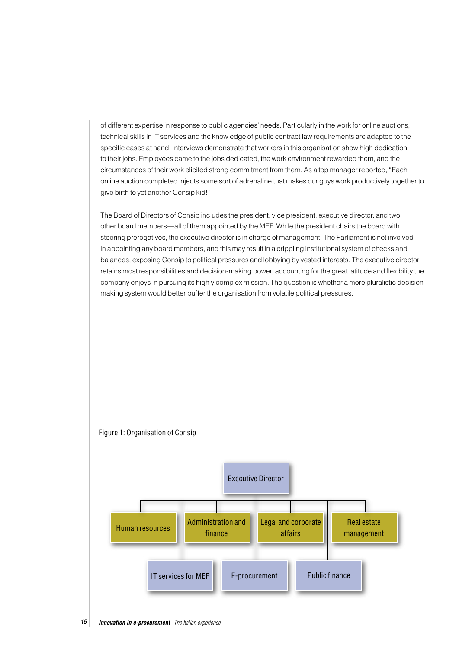of different expertise in response to public agencies' needs. Particularly in the work for online auctions, technical skills in IT services and the knowledge of public contract law requirements are adapted to the specific cases at hand. Interviews demonstrate that workers in this organisation show high dedication to their jobs. Employees came to the jobs dedicated, the work environment rewarded them, and the circumstances of their work elicited strong commitment from them. As a top manager reported, "Each online auction completed injects some sort of adrenaline that makes our guys work productively together to give birth to yet another Consip kid!"

The Board of Directors of Consip includes the president, vice president, executive director, and two other board members—all of them appointed by the MEF. While the president chairs the board with steering prerogatives, the executive director is in charge of management. The Parliament is not involved in appointing any board members, and this may result in a crippling institutional system of checks and balances, exposing Consip to political pressures and lobbying by vested interests. The executive director retains most responsibilities and decision-making power, accounting for the great latitude and flexibility the company enjoys in pursuing its highly complex mission. The question is whether a more pluralistic decisionmaking system would better buffer the organisation from volatile political pressures.



#### Figure 1: Organisation of Consip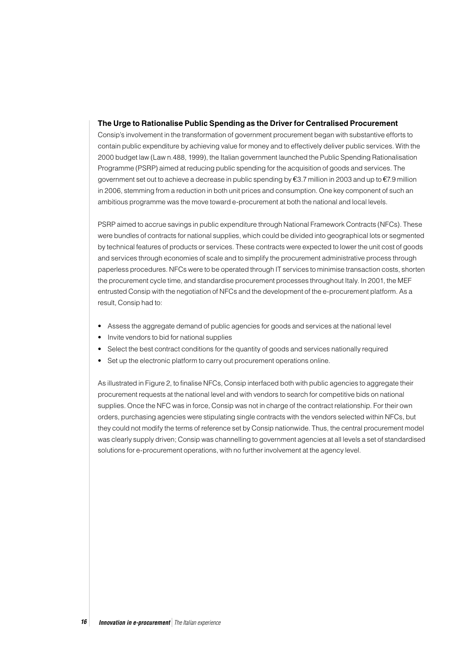#### **The Urge to Rationalise Public Spending as the Driver for Centralised Procurement**

Consip's involvement in the transformation of government procurement began with substantive efforts to contain public expenditure by achieving value for money and to effectively deliver public services. With the 2000 budget law (Law n.488, 1999), the Italian government launched the Public Spending Rationalisation Programme (PSRP) aimed at reducing public spending for the acquisition of goods and services. The government set out to achieve a decrease in public spending by  $\epsilon$ 3.7 million in 2003 and up to  $\epsilon$ 7.9 million in 2006, stemming from a reduction in both unit prices and consumption. One key component of such an ambitious programme was the move toward e-procurement at both the national and local levels.

PSRP aimed to accrue savings in public expenditure through National Framework Contracts (NFCs). These were bundles of contracts for national supplies, which could be divided into geographical lots or segmented by technical features of products or services. These contracts were expected to lower the unit cost of goods and services through economies of scale and to simplify the procurement administrative process through paperless procedures. NFCs were to be operated through IT services to minimise transaction costs, shorten the procurement cycle time, and standardise procurement processes throughout Italy. In 2001, the MEF entrusted Consip with the negotiation of NFCs and the development of the e-procurement platform. As a result, Consip had to:

- Assess the aggregate demand of public agencies for goods and services at the national level
- Invite vendors to bid for national supplies
- Select the best contract conditions for the quantity of goods and services nationally required
- Set up the electronic platform to carry out procurement operations online.

As illustrated in Figure 2, to finalise NFCs, Consip interfaced both with public agencies to aggregate their procurement requests at the national level and with vendors to search for competitive bids on national supplies. Once the NFC was in force, Consip was not in charge of the contract relationship. For their own orders, purchasing agencies were stipulating single contracts with the vendors selected within NFCs, but they could not modify the terms of reference set by Consip nationwide. Thus, the central procurement model was clearly supply driven; Consip was channelling to government agencies at all levels a set of standardised solutions for e-procurement operations, with no further involvement at the agency level.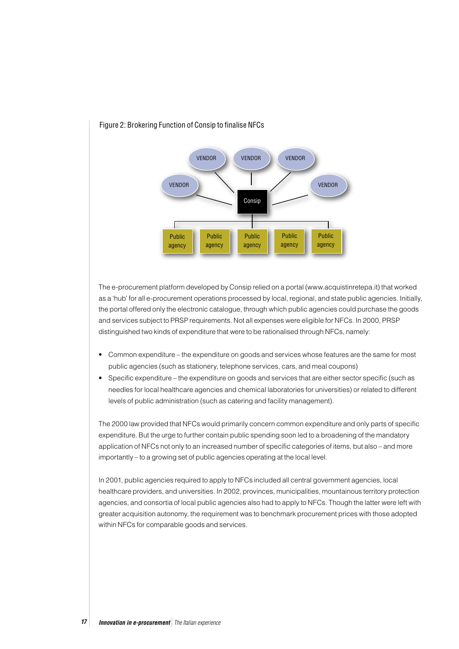

#### Figure 2: Brokering Function of Consip to finalise NFCs

The e-procurement platform developed by Consip relied on a portal (www.acquistinretepa.it) that worked as a 'hub' for all e-procurement operations processed by local, regional, and state public agencies. Initially, the portal offered only the electronic catalogue, through which public agencies could purchase the goods and services subject to PRSP requirements. Not all expenses were eligible for NFCs. In 2000, PRSP distinguished two kinds of expenditure that were to be rationalised through NFCs, namely:

- Common expenditure the expenditure on goods and services whose features are the same for most public agencies (such as stationery, telephone services, cars, and meal coupons)
- Specific expenditure the expenditure on goods and services that are either sector specific (such as needles for local healthcare agencies and chemical laboratories for universities) or related to different levels of public administration (such as catering and facility management).

The 2000 law provided that NFCs would primarily concern common expenditure and only parts of specific expenditure. But the urge to further contain public spending soon led to a broadening of the mandatory application of NFCs not only to an increased number of specific categories of items, but also – and more importantly – to a growing set of public agencies operating at the local level.

In 2001, public agencies required to apply to NFCs included all central government agencies, local healthcare providers, and universities. In 2002, provinces, municipalities, mountainous territory protection agencies, and consortia of local public agencies also had to apply to NFCs. Though the latter were left with greater acquisition autonomy, the requirement was to benchmark procurement prices with those adopted within NFCs for comparable goods and services.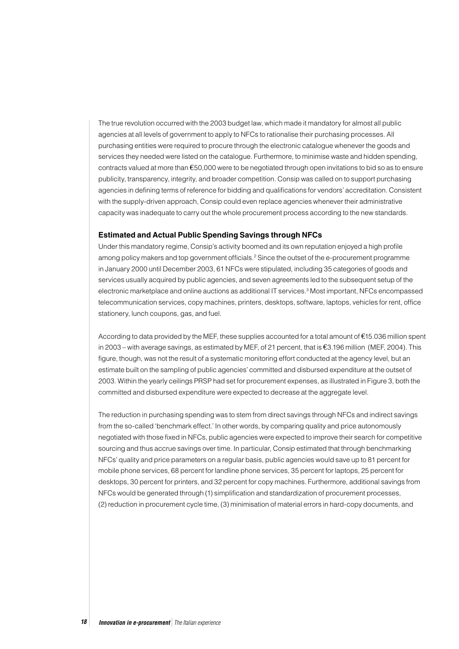The true revolution occurred with the 2003 budget law, which made it mandatory for almost all public agencies at all levels of government to apply to NFCs to rationalise their purchasing processes. All purchasing entities were required to procure through the electronic catalogue whenever the goods and services they needed were listed on the catalogue. Furthermore, to minimise waste and hidden spending, contracts valued at more than  $\epsilon$ 50,000 were to be negotiated through open invitations to bid so as to ensure publicity, transparency, integrity, and broader competition. Consip was called on to support purchasing agencies in defining terms of reference for bidding and qualifications for vendors' accreditation. Consistent with the supply-driven approach, Consip could even replace agencies whenever their administrative capacity was inadequate to carry out the whole procurement process according to the new standards.

#### **Estimated and Actual Public Spending Savings through NFCs**

Under this mandatory regime, Consip's activity boomed and its own reputation enjoyed a high profile among policy makers and top government officials.<sup>2</sup> Since the outset of the e-procurement programme in January 2000 until December 2003, 61 NFCs were stipulated, including 35 categories of goods and services usually acquired by public agencies, and seven agreements led to the subsequent setup of the electronic marketplace and online auctions as additional IT services.<sup>3</sup> Most important, NFCs encompassed telecommunication services, copy machines, printers, desktops, software, laptops, vehicles for rent, office stationery, lunch coupons, gas, and fuel.

According to data provided by the MEF, these supplies accounted for a total amount of  $£15.036$  million spent in 2003 – with average savings, as estimated by MEF, of 21 percent, that is  $\epsilon$ 3.196 million (MEF, 2004). This figure, though, was not the result of a systematic monitoring effort conducted at the agency level, but an estimate built on the sampling of public agencies' committed and disbursed expenditure at the outset of 2003. Within the yearly ceilings PRSP had set for procurement expenses, as illustrated in Figure 3, both the committed and disbursed expenditure were expected to decrease at the aggregate level.

The reduction in purchasing spending was to stem from direct savings through NFCs and indirect savings from the so-called 'benchmark effect.' In other words, by comparing quality and price autonomously negotiated with those fixed in NFCs, public agencies were expected to improve their search for competitive sourcing and thus accrue savings over time. In particular, Consip estimated that through benchmarking NFCs' quality and price parameters on a regular basis, public agencies would save up to 81 percent for mobile phone services, 68 percent for landline phone services, 35 percent for laptops, 25 percent for desktops, 30 percent for printers, and 32 percent for copy machines. Furthermore, additional savings from NFCs would be generated through (1) simplification and standardization of procurement processes, (2) reduction in procurement cycle time, (3) minimisation of material errors in hard-copy documents, and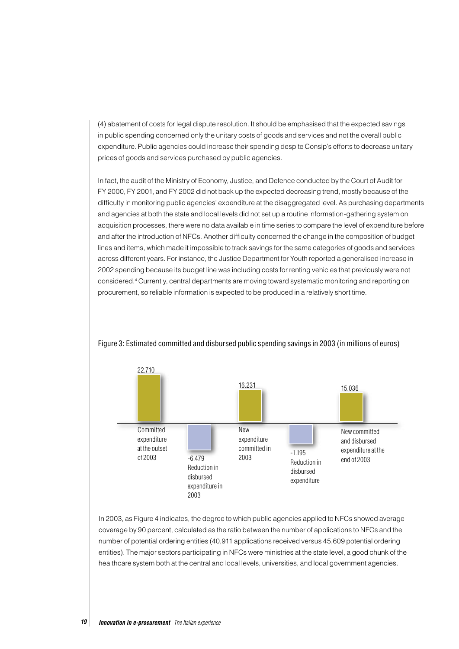(4) abatement of costs for legal dispute resolution. It should be emphasised that the expected savings in public spending concerned only the unitary costs of goods and services and not the overall public expenditure. Public agencies could increase their spending despite Consip's efforts to decrease unitary prices of goods and services purchased by public agencies.

In fact, the audit of the Ministry of Economy, Justice, and Defence conducted by the Court of Audit for FY 2000, FY 2001, and FY 2002 did not back up the expected decreasing trend, mostly because of the difficulty in monitoring public agencies' expenditure at the disaggregated level. As purchasing departments and agencies at both the state and local levels did not set up a routine information-gathering system on acquisition processes, there were no data available in time series to compare the level of expenditure before and after the introduction of NFCs. Another difficulty concerned the change in the composition of budget lines and items, which made it impossible to track savings for the same categories of goods and services across different years. For instance, the Justice Department for Youth reported a generalised increase in 2002 spending because its budget line was including costs for renting vehicles that previously were not considered.4 Currently, central departments are moving toward systematic monitoring and reporting on procurement, so reliable information is expected to be produced in a relatively short time.



Figure 3: Estimated committed and disbursed public spending savings in 2003 (in millions of euros)

In 2003, as Figure 4 indicates, the degree to which public agencies applied to NFCs showed average coverage by 90 percent, calculated as the ratio between the number of applications to NFCs and the number of potential ordering entities (40,911 applications received versus 45,609 potential ordering entities). The major sectors participating in NFCs were ministries at the state level, a good chunk of the healthcare system both at the central and local levels, universities, and local government agencies.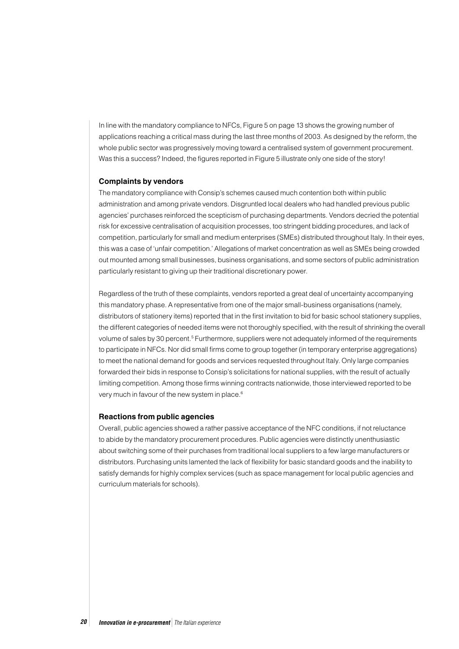In line with the mandatory compliance to NFCs, Figure 5 on page 13 shows the growing number of applications reaching a critical mass during the last three months of 2003. As designed by the reform, the whole public sector was progressively moving toward a centralised system of government procurement. Was this a success? Indeed, the figures reported in Figure 5 illustrate only one side of the story!

#### **Complaints by vendors**

The mandatory compliance with Consip's schemes caused much contention both within public administration and among private vendors. Disgruntled local dealers who had handled previous public agencies' purchases reinforced the scepticism of purchasing departments. Vendors decried the potential risk for excessive centralisation of acquisition processes, too stringent bidding procedures, and lack of competition, particularly for small and medium enterprises (SMEs) distributed throughout Italy. In their eyes, this was a case of 'unfair competition.' Allegations of market concentration as well as SMEs being crowded out mounted among small businesses, business organisations, and some sectors of public administration particularly resistant to giving up their traditional discretionary power.

Regardless of the truth of these complaints, vendors reported a great deal of uncertainty accompanying this mandatory phase. A representative from one of the major small-business organisations (namely, distributors of stationery items) reported that in the first invitation to bid for basic school stationery supplies, the different categories of needed items were not thoroughly specified, with the result of shrinking the overall volume of sales by 30 percent.<sup>5</sup> Furthermore, suppliers were not adequately informed of the requirements to participate in NFCs. Nor did small firms come to group together (in temporary enterprise aggregations) to meet the national demand for goods and services requested throughout Italy. Only large companies forwarded their bids in response to Consip's solicitations for national supplies, with the result of actually limiting competition. Among those firms winning contracts nationwide, those interviewed reported to be very much in favour of the new system in place.6

#### **Reactions from public agencies**

Overall, public agencies showed a rather passive acceptance of the NFC conditions, if not reluctance to abide by the mandatory procurement procedures. Public agencies were distinctly unenthusiastic about switching some of their purchases from traditional local suppliers to a few large manufacturers or distributors. Purchasing units lamented the lack of flexibility for basic standard goods and the inability to satisfy demands for highly complex services (such as space management for local public agencies and curriculum materials for schools).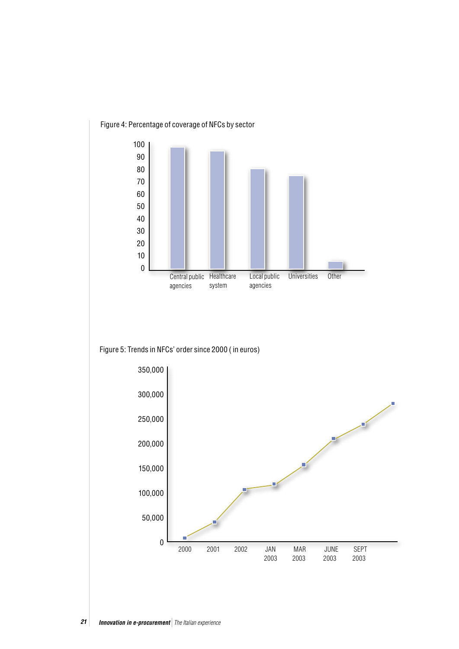

Figure 5: Trends in NFCs' order since 2000 ( in euros)

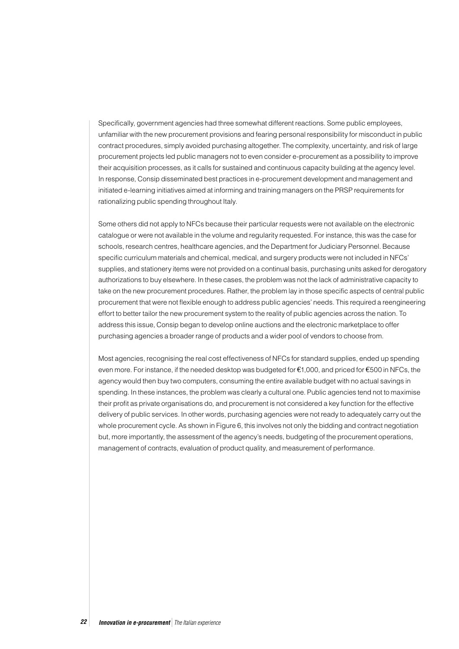Specifically, government agencies had three somewhat different reactions. Some public employees, unfamiliar with the new procurement provisions and fearing personal responsibility for misconduct in public contract procedures, simply avoided purchasing altogether. The complexity, uncertainty, and risk of large procurement projects led public managers not to even consider e-procurement as a possibility to improve their acquisition processes, as it calls for sustained and continuous capacity building at the agency level. In response, Consip disseminated best practices in e-procurement development and management and initiated e-learning initiatives aimed at informing and training managers on the PRSP requirements for rationalizing public spending throughout Italy.

Some others did not apply to NFCs because their particular requests were not available on the electronic catalogue or were not available in the volume and regularity requested. For instance, this was the case for schools, research centres, healthcare agencies, and the Department for Judiciary Personnel. Because specific curriculum materials and chemical, medical, and surgery products were not included in NFCs' supplies, and stationery items were not provided on a continual basis, purchasing units asked for derogatory authorizations to buy elsewhere. In these cases, the problem was not the lack of administrative capacity to take on the new procurement procedures. Rather, the problem lay in those specific aspects of central public procurement that were not flexible enough to address public agencies' needs. This required a reengineering effort to better tailor the new procurement system to the reality of public agencies across the nation. To address this issue, Consip began to develop online auctions and the electronic marketplace to offer purchasing agencies a broader range of products and a wider pool of vendors to choose from.

Most agencies, recognising the real cost effectiveness of NFCs for standard supplies, ended up spending even more. For instance, if the needed desktop was budgeted for  $\epsilon$ 1,000, and priced for  $\epsilon$ 500 in NFCs, the agency would then buy two computers, consuming the entire available budget with no actual savings in spending. In these instances, the problem was clearly a cultural one. Public agencies tend not to maximise their profit as private organisations do, and procurement is not considered a key function for the effective delivery of public services. In other words, purchasing agencies were not ready to adequately carry out the whole procurement cycle. As shown in Figure 6, this involves not only the bidding and contract negotiation but, more importantly, the assessment of the agency's needs, budgeting of the procurement operations, management of contracts, evaluation of product quality, and measurement of performance.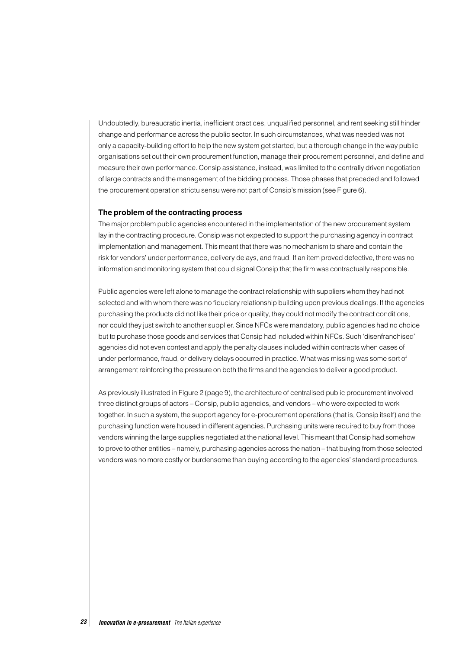Undoubtedly, bureaucratic inertia, inefficient practices, unqualified personnel, and rent seeking still hinder change and performance across the public sector. In such circumstances, what was needed was not only a capacity-building effort to help the new system get started, but a thorough change in the way public organisations set out their own procurement function, manage their procurement personnel, and define and measure their own performance. Consip assistance, instead, was limited to the centrally driven negotiation of large contracts and the management of the bidding process. Those phases that preceded and followed the procurement operation strictu sensu were not part of Consip's mission (see Figure 6).

#### **The problem of the contracting process**

The major problem public agencies encountered in the implementation of the new procurement system lay in the contracting procedure. Consip was not expected to support the purchasing agency in contract implementation and management. This meant that there was no mechanism to share and contain the risk for vendors' under performance, delivery delays, and fraud. If an item proved defective, there was no information and monitoring system that could signal Consip that the firm was contractually responsible.

Public agencies were left alone to manage the contract relationship with suppliers whom they had not selected and with whom there was no fiduciary relationship building upon previous dealings. If the agencies purchasing the products did not like their price or quality, they could not modify the contract conditions, nor could they just switch to another supplier. Since NFCs were mandatory, public agencies had no choice but to purchase those goods and services that Consip had included within NFCs. Such 'disenfranchised' agencies did not even contest and apply the penalty clauses included within contracts when cases of under performance, fraud, or delivery delays occurred in practice. What was missing was some sort of arrangement reinforcing the pressure on both the firms and the agencies to deliver a good product.

As previously illustrated in Figure 2 (page 9), the architecture of centralised public procurement involved three distinct groups of actors – Consip, public agencies, and vendors – who were expected to work together. In such a system, the support agency for e-procurement operations (that is, Consip itself) and the purchasing function were housed in different agencies. Purchasing units were required to buy from those vendors winning the large supplies negotiated at the national level. This meant that Consip had somehow to prove to other entities – namely, purchasing agencies across the nation – that buying from those selected vendors was no more costly or burdensome than buying according to the agencies' standard procedures.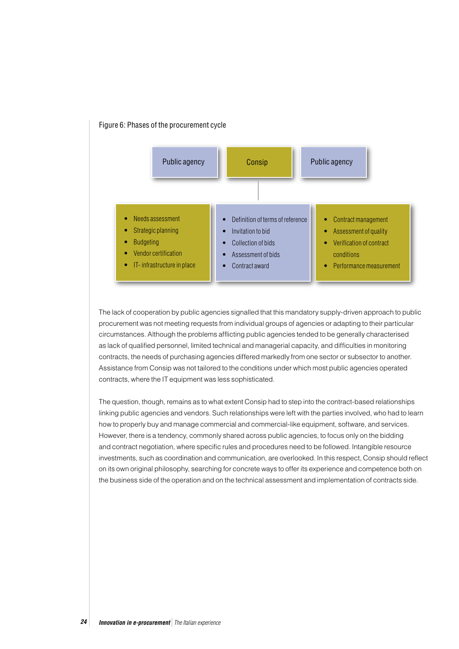

#### Figure 6: Phases of the procurement cycle

The lack of cooperation by public agencies signalled that this mandatory supply-driven approach to public procurement was not meeting requests from individual groups of agencies or adapting to their particular circumstances. Although the problems afflicting public agencies tended to be generally characterised as lack of qualified personnel, limited technical and managerial capacity, and difficulties in monitoring contracts, the needs of purchasing agencies differed markedly from one sector or subsector to another. Assistance from Consip was not tailored to the conditions under which most public agencies operated contracts, where the IT equipment was less sophisticated.

The question, though, remains as to what extent Consip had to step into the contract-based relationships linking public agencies and vendors. Such relationships were left with the parties involved, who had to learn how to properly buy and manage commercial and commercial-like equipment, software, and services. However, there is a tendency, commonly shared across public agencies, to focus only on the bidding and contract negotiation, where specific rules and procedures need to be followed. Intangible resource investments, such as coordination and communication, are overlooked. In this respect, Consip should reflect on its own original philosophy, searching for concrete ways to offer its experience and competence both on the business side of the operation and on the technical assessment and implementation of contracts side.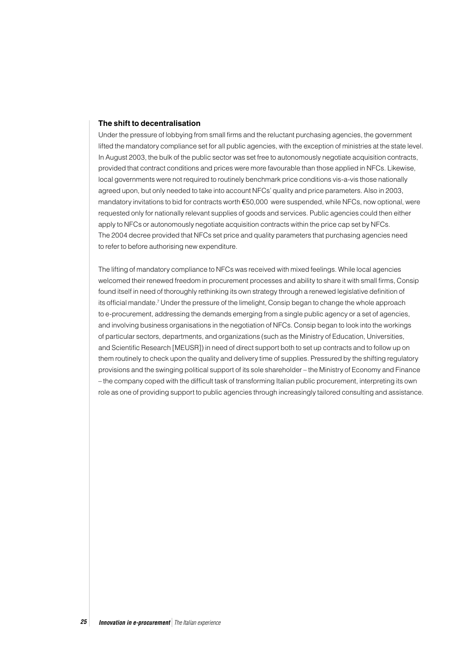#### **The shift to decentralisation**

Under the pressure of lobbying from small firms and the reluctant purchasing agencies, the government lifted the mandatory compliance set for all public agencies, with the exception of ministries at the state level. In August 2003, the bulk of the public sector was set free to autonomously negotiate acquisition contracts, provided that contract conditions and prices were more favourable than those applied in NFCs. Likewise, local governments were not required to routinely benchmark price conditions vis-a-vis those nationally agreed upon, but only needed to take into account NFCs' quality and price parameters. Also in 2003, mandatory invitations to bid for contracts worth  $\epsilon$ 50,000 were suspended, while NFCs, now optional, were requested only for nationally relevant supplies of goods and services. Public agencies could then either apply to NFCs or autonomously negotiate acquisition contracts within the price cap set by NFCs. The 2004 decree provided that NFCs set price and quality parameters that purchasing agencies need to refer to before authorising new expenditure.

The lifting of mandatory compliance to NFCs was received with mixed feelings. While local agencies welcomed their renewed freedom in procurement processes and ability to share it with small firms, Consip found itself in need of thoroughly rethinking its own strategy through a renewed legislative definition of its official mandate.<sup>7</sup> Under the pressure of the limelight, Consip began to change the whole approach to e-procurement, addressing the demands emerging from a single public agency or a set of agencies, and involving business organisations in the negotiation of NFCs. Consip began to look into the workings of particular sectors, departments, and organizations (such as the Ministry of Education, Universities, and Scientific Research [MEUSR]) in need of direct support both to set up contracts and to follow up on them routinely to check upon the quality and delivery time of supplies. Pressured by the shifting regulatory provisions and the swinging political support of its sole shareholder – the Ministry of Economy and Finance – the company coped with the difficult task of transforming Italian public procurement, interpreting its own role as one of providing support to public agencies through increasingly tailored consulting and assistance.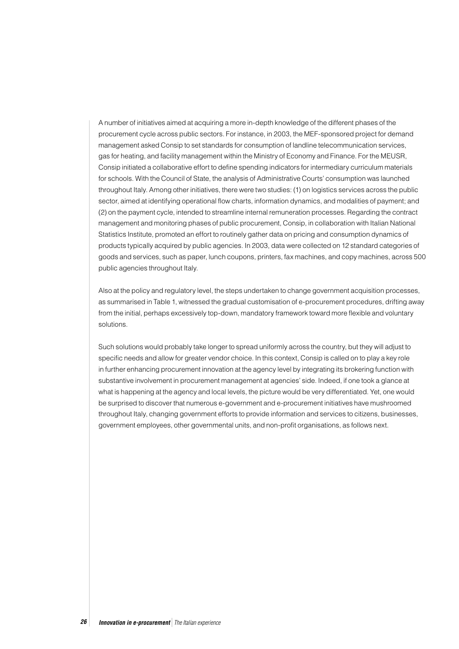A number of initiatives aimed at acquiring a more in-depth knowledge of the different phases of the procurement cycle across public sectors. For instance, in 2003, the MEF-sponsored project for demand management asked Consip to set standards for consumption of landline telecommunication services, gas for heating, and facility management within the Ministry of Economy and Finance. For the MEUSR, Consip initiated a collaborative effort to define spending indicators for intermediary curriculum materials for schools. With the Council of State, the analysis of Administrative Courts' consumption was launched throughout Italy. Among other initiatives, there were two studies: (1) on logistics services across the public sector, aimed at identifying operational flow charts, information dynamics, and modalities of payment; and (2) on the payment cycle, intended to streamline internal remuneration processes. Regarding the contract management and monitoring phases of public procurement, Consip, in collaboration with Italian National Statistics Institute, promoted an effort to routinely gather data on pricing and consumption dynamics of products typically acquired by public agencies. In 2003, data were collected on 12 standard categories of goods and services, such as paper, lunch coupons, printers, fax machines, and copy machines, across 500 public agencies throughout Italy.

Also at the policy and regulatory level, the steps undertaken to change government acquisition processes, as summarised in Table 1, witnessed the gradual customisation of e-procurement procedures, drifting away from the initial, perhaps excessively top-down, mandatory framework toward more flexible and voluntary solutions.

Such solutions would probably take longer to spread uniformly across the country, but they will adjust to specific needs and allow for greater vendor choice. In this context, Consip is called on to play a key role in further enhancing procurement innovation at the agency level by integrating its brokering function with substantive involvement in procurement management at agencies' side. Indeed, if one took a glance at what is happening at the agency and local levels, the picture would be very differentiated. Yet, one would be surprised to discover that numerous e-government and e-procurement initiatives have mushroomed throughout Italy, changing government efforts to provide information and services to citizens, businesses, government employees, other governmental units, and non-profit organisations, as follows next.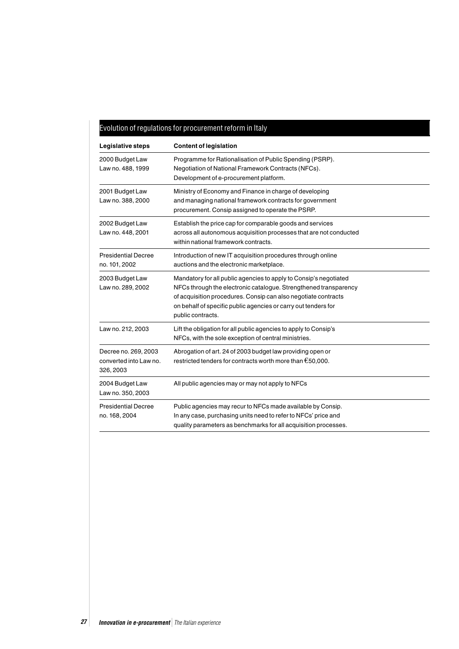## Evolution of regulations for procurement reform in Italy

| Legislative steps                                           | <b>Content of legislation</b>                                                                                                                                                                                                                                                                  |  |
|-------------------------------------------------------------|------------------------------------------------------------------------------------------------------------------------------------------------------------------------------------------------------------------------------------------------------------------------------------------------|--|
| 2000 Budget Law<br>Law no. 488, 1999                        | Programme for Rationalisation of Public Spending (PSRP).<br>Negotiation of National Framework Contracts (NFCs).<br>Development of e-procurement platform.                                                                                                                                      |  |
| 2001 Budget Law<br>Law no. 388, 2000                        | Ministry of Economy and Finance in charge of developing<br>and managing national framework contracts for government<br>procurement. Consip assigned to operate the PSRP.                                                                                                                       |  |
| 2002 Budget Law<br>Law no. 448, 2001                        | Establish the price cap for comparable goods and services<br>across all autonomous acquisition processes that are not conducted<br>within national framework contracts.                                                                                                                        |  |
| <b>Presidential Decree</b><br>no. 101, 2002                 | Introduction of new IT acquisition procedures through online<br>auctions and the electronic marketplace.                                                                                                                                                                                       |  |
| 2003 Budget Law<br>Law no. 289, 2002                        | Mandatory for all public agencies to apply to Consip's negotiated<br>NFCs through the electronic catalogue. Strengthened transparency<br>of acquisition procedures. Consip can also negotiate contracts<br>on behalf of specific public agencies or carry out tenders for<br>public contracts. |  |
| Law no. 212, 2003                                           | Lift the obligation for all public agencies to apply to Consip's<br>NFCs, with the sole exception of central ministries.                                                                                                                                                                       |  |
| Decree no. 269, 2003<br>converted into Law no.<br>326, 2003 | Abrogation of art. 24 of 2003 budget law providing open or<br>restricted tenders for contracts worth more than $\epsilon$ 50,000.                                                                                                                                                              |  |
| 2004 Budget Law<br>Law no. 350, 2003                        | All public agencies may or may not apply to NFCs                                                                                                                                                                                                                                               |  |
| <b>Presidential Decree</b><br>no. 168, 2004                 | Public agencies may recur to NFCs made available by Consip.<br>In any case, purchasing units need to refer to NFCs' price and<br>quality parameters as benchmarks for all acquisition processes.                                                                                               |  |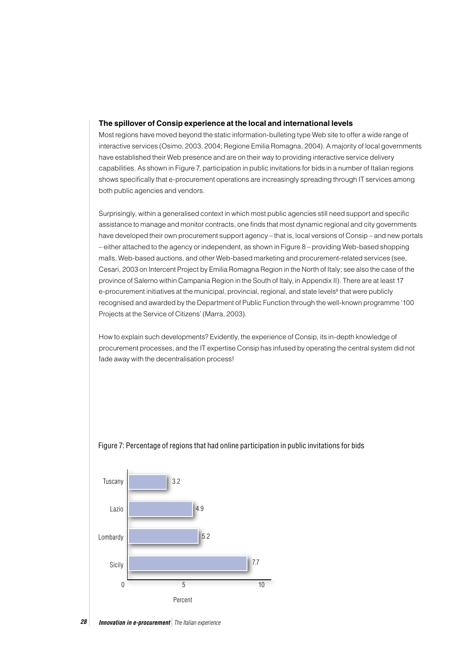#### **The spillover of Consip experience at the local and international levels**

Most regions have moved beyond the static information-bulleting type Web site to offer a wide range of interactive services (Osimo, 2003, 2004; Regione Emilia Romagna, 2004). A majority of local governments have established their Web presence and are on their way to providing interactive service delivery capabilities. As shown in Figure 7, participation in public invitations for bids in a number of Italian regions shows specifically that e-procurement operations are increasingly spreading through IT services among both public agencies and vendors.

Surprisingly, within a generalised context in which most public agencies still need support and specific assistance to manage and monitor contracts, one finds that most dynamic regional and city governments have developed their own procurement support agency – that is, local versions of Consip – and new portals – either attached to the agency or independent, as shown in Figure 8 – providing Web-based shopping malls, Web-based auctions, and other Web-based marketing and procurement-related services (see, Cesari, 2003 on Intercent Project by Emilia Romagna Region in the North of Italy; see also the case of the province of Salerno within Campania Region in the South of Italy, in Appendix II). There are at least 17 e-procurement initiatives at the municipal, provincial, regional, and state levels<sup>8</sup> that were publicly recognised and awarded by the Department of Public Function through the well-known programme '100 Projects at the Service of Citizens' (Marra, 2003).

How to explain such developments? Evidently, the experience of Consip, its in-depth knowledge of procurement processes, and the IT expertise Consip has infused by operating the central system did not fade away with the decentralisation process!



#### Figure 7: Percentage of regions that had online participation in public invitations for bids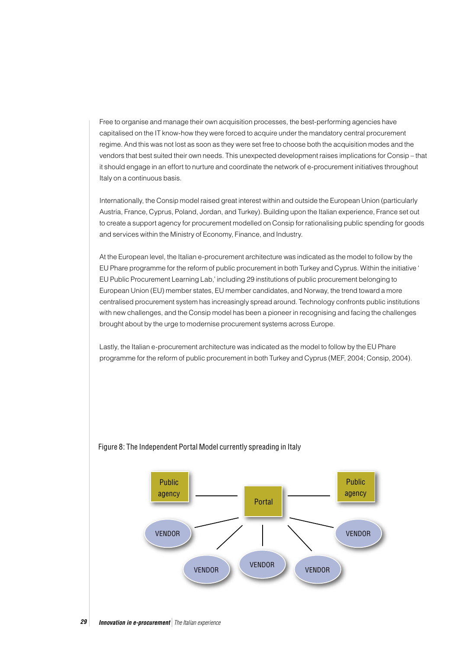Free to organise and manage their own acquisition processes, the best-performing agencies have capitalised on the IT know-how they were forced to acquire under the mandatory central procurement regime. And this was not lost as soon as they were set free to choose both the acquisition modes and the vendors that best suited their own needs. This unexpected development raises implications for Consip – that it should engage in an effort to nurture and coordinate the network of e-procurement initiatives throughout Italy on a continuous basis.

Internationally, the Consip model raised great interest within and outside the European Union (particularly Austria, France, Cyprus, Poland, Jordan, and Turkey). Building upon the Italian experience, France set out to create a support agency for procurement modelled on Consip for rationalising public spending for goods and services within the Ministry of Economy, Finance, and Industry.

At the European level, the Italian e-procurement architecture was indicated as the model to follow by the EU Phare programme for the reform of public procurement in both Turkey and Cyprus. Within the initiative ' EU Public Procurement Learning Lab,' including 29 institutions of public procurement belonging to European Union (EU) member states, EU member candidates, and Norway, the trend toward a more centralised procurement system has increasingly spread around. Technology confronts public institutions with new challenges, and the Consip model has been a pioneer in recognising and facing the challenges brought about by the urge to modernise procurement systems across Europe.

Lastly, the Italian e-procurement architecture was indicated as the model to follow by the EU Phare programme for the reform of public procurement in both Turkey and Cyprus (MEF, 2004; Consip, 2004).



### Figure 8: The Independent Portal Model currently spreading in Italy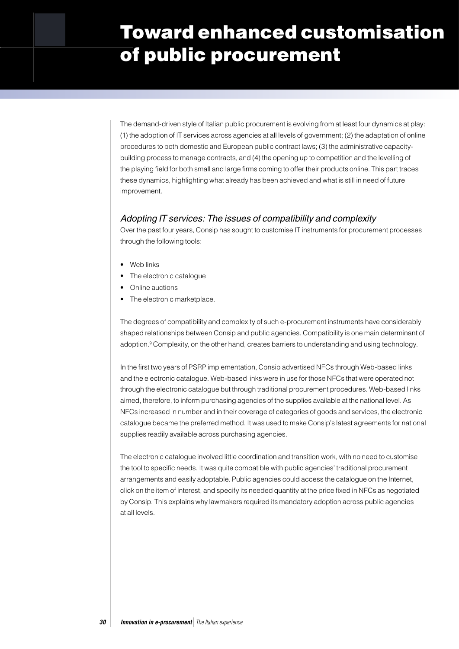# Toward enhanced customisation of public procurement

The demand-driven style of Italian public procurement is evolving from at least four dynamics at play: (1) the adoption of IT services across agencies at all levels of government; (2) the adaptation of online procedures to both domestic and European public contract laws; (3) the administrative capacitybuilding process to manage contracts, and (4) the opening up to competition and the levelling of the playing field for both small and large firms coming to offer their products online. This part traces these dynamics, highlighting what already has been achieved and what is still in need of future improvement.

### Adopting IT services: The issues of compatibility and complexity

Over the past four years, Consip has sought to customise IT instruments for procurement processes through the following tools:

- Web links
- The electronic catalogue
- Online auctions
- The electronic marketplace.

The degrees of compatibility and complexity of such e-procurement instruments have considerably shaped relationships between Consip and public agencies. Compatibility is one main determinant of adoption.<sup>9</sup> Complexity, on the other hand, creates barriers to understanding and using technology.

In the first two years of PSRP implementation, Consip advertised NFCs through Web-based links and the electronic catalogue. Web-based links were in use for those NFCs that were operated not through the electronic catalogue but through traditional procurement procedures. Web-based links aimed, therefore, to inform purchasing agencies of the supplies available at the national level. As NFCs increased in number and in their coverage of categories of goods and services, the electronic catalogue became the preferred method. It was used to make Consip's latest agreements for national supplies readily available across purchasing agencies.

The electronic catalogue involved little coordination and transition work, with no need to customise the tool to specific needs. It was quite compatible with public agencies' traditional procurement arrangements and easily adoptable. Public agencies could access the catalogue on the Internet, click on the item of interest, and specify its needed quantity at the price fixed in NFCs as negotiated by Consip. This explains why lawmakers required its mandatory adoption across public agencies at all levels.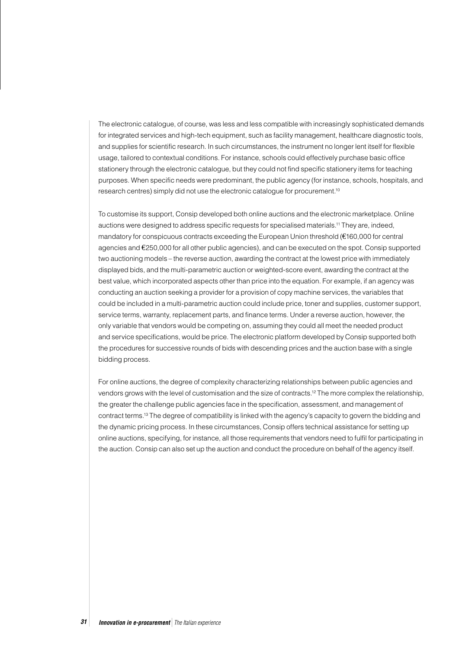The electronic catalogue, of course, was less and less compatible with increasingly sophisticated demands for integrated services and high-tech equipment, such as facility management, healthcare diagnostic tools, and supplies for scientific research. In such circumstances, the instrument no longer lent itself for flexible usage, tailored to contextual conditions. For instance, schools could effectively purchase basic office stationery through the electronic catalogue, but they could not find specific stationery items for teaching purposes. When specific needs were predominant, the public agency (for instance, schools, hospitals, and research centres) simply did not use the electronic catalogue for procurement.10

To customise its support, Consip developed both online auctions and the electronic marketplace. Online auctions were designed to address specific requests for specialised materials.11 They are, indeed, mandatory for conspicuous contracts exceeding the European Union threshold ( $E160,000$  for central agencies and 250,000 for all other public agencies), and can be executed on the spot. Consip supported two auctioning models – the reverse auction, awarding the contract at the lowest price with immediately displayed bids, and the multi-parametric auction or weighted-score event, awarding the contract at the best value, which incorporated aspects other than price into the equation. For example, if an agency was conducting an auction seeking a provider for a provision of copy machine services, the variables that could be included in a multi-parametric auction could include price, toner and supplies, customer support, service terms, warranty, replacement parts, and finance terms. Under a reverse auction, however, the only variable that vendors would be competing on, assuming they could all meet the needed product and service specifications, would be price. The electronic platform developed by Consip supported both the procedures for successive rounds of bids with descending prices and the auction base with a single bidding process.

For online auctions, the degree of complexity characterizing relationships between public agencies and vendors grows with the level of customisation and the size of contracts.12 The more complex the relationship, the greater the challenge public agencies face in the specification, assessment, and management of contract terms.13 The degree of compatibility is linked with the agency's capacity to govern the bidding and the dynamic pricing process. In these circumstances, Consip offers technical assistance for setting up online auctions, specifying, for instance, all those requirements that vendors need to fulfil for participating in the auction. Consip can also set up the auction and conduct the procedure on behalf of the agency itself.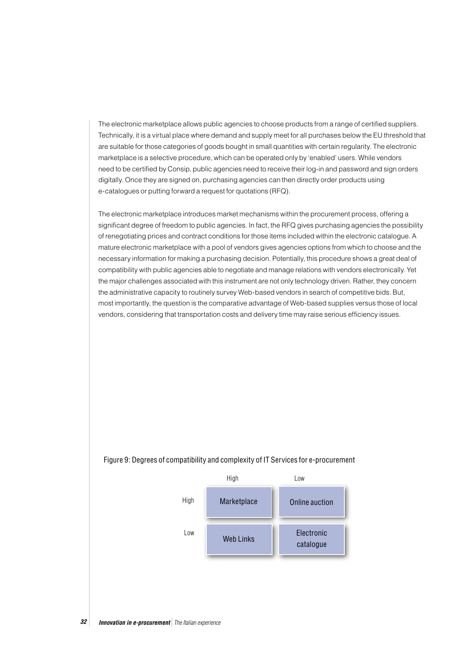The electronic marketplace allows public agencies to choose products from a range of certified suppliers. Technically, it is a virtual place where demand and supply meet for all purchases below the EU threshold that are suitable for those categories of goods bought in small quantities with certain regularity. The electronic marketplace is a selective procedure, which can be operated only by 'enabled' users. While vendors need to be certified by Consip, public agencies need to receive their log-in and password and sign orders digitally. Once they are signed on, purchasing agencies can then directly order products using e-catalogues or putting forward a request for quotations (RFQ).

The electronic marketplace introduces market mechanisms within the procurement process, offering a significant degree of freedom to public agencies. In fact, the RFQ gives purchasing agencies the possibility of renegotiating prices and contract conditions for those items included within the electronic catalogue. A mature electronic marketplace with a pool of vendors gives agencies options from which to choose and the necessary information for making a purchasing decision. Potentially, this procedure shows a great deal of compatibility with public agencies able to negotiate and manage relations with vendors electronically. Yet the major challenges associated with this instrument are not only technology driven. Rather, they concern the administrative capacity to routinely survey Web-based vendors in search of competitive bids. But, most importantly, the question is the comparative advantage of Web-based supplies versus those of local vendors, considering that transportation costs and delivery time may raise serious efficiency issues.



#### Figure 9: Degrees of compatibility and complexity of IT Services for e-procurement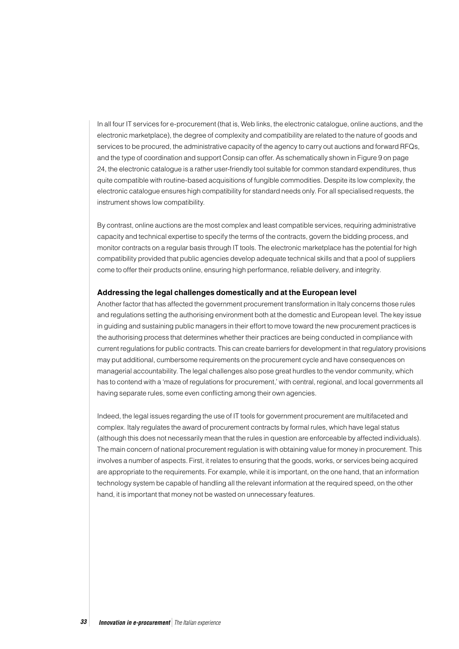In all four IT services for e-procurement (that is, Web links, the electronic catalogue, online auctions, and the electronic marketplace), the degree of complexity and compatibility are related to the nature of goods and services to be procured, the administrative capacity of the agency to carry out auctions and forward RFQs, and the type of coordination and support Consip can offer. As schematically shown in Figure 9 on page 24, the electronic catalogue is a rather user-friendly tool suitable for common standard expenditures, thus quite compatible with routine-based acquisitions of fungible commodities. Despite its low complexity, the electronic catalogue ensures high compatibility for standard needs only. For all specialised requests, the instrument shows low compatibility.

By contrast, online auctions are the most complex and least compatible services, requiring administrative capacity and technical expertise to specify the terms of the contracts, govern the bidding process, and monitor contracts on a regular basis through IT tools. The electronic marketplace has the potential for high compatibility provided that public agencies develop adequate technical skills and that a pool of suppliers come to offer their products online, ensuring high performance, reliable delivery, and integrity.

#### **Addressing the legal challenges domestically and at the European level**

Another factor that has affected the government procurement transformation in Italy concerns those rules and regulations setting the authorising environment both at the domestic and European level. The key issue in guiding and sustaining public managers in their effort to move toward the new procurement practices is the authorising process that determines whether their practices are being conducted in compliance with current regulations for public contracts. This can create barriers for development in that regulatory provisions may put additional, cumbersome requirements on the procurement cycle and have consequences on managerial accountability. The legal challenges also pose great hurdles to the vendor community, which has to contend with a 'maze of regulations for procurement,' with central, regional, and local governments all having separate rules, some even conflicting among their own agencies.

Indeed, the legal issues regarding the use of IT tools for government procurement are multifaceted and complex. Italy regulates the award of procurement contracts by formal rules, which have legal status (although this does not necessarily mean that the rules in question are enforceable by affected individuals). The main concern of national procurement regulation is with obtaining value for money in procurement. This involves a number of aspects. First, it relates to ensuring that the goods, works, or services being acquired are appropriate to the requirements. For example, while it is important, on the one hand, that an information technology system be capable of handling all the relevant information at the required speed, on the other hand, it is important that money not be wasted on unnecessary features.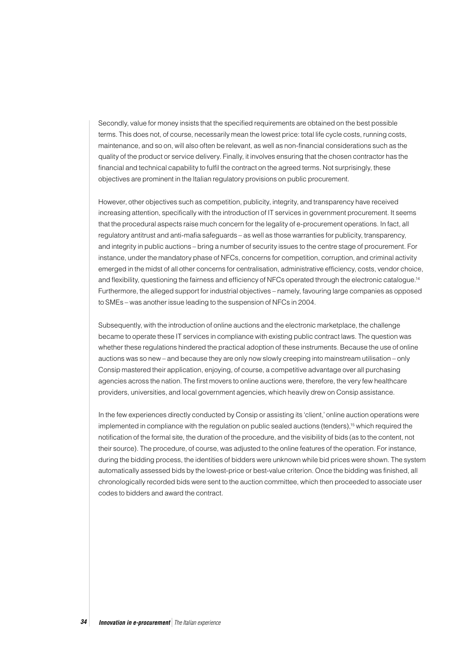Secondly, value for money insists that the specified requirements are obtained on the best possible terms. This does not, of course, necessarily mean the lowest price: total life cycle costs, running costs, maintenance, and so on, will also often be relevant, as well as non-financial considerations such as the quality of the product or service delivery. Finally, it involves ensuring that the chosen contractor has the financial and technical capability to fulfil the contract on the agreed terms. Not surprisingly, these objectives are prominent in the Italian regulatory provisions on public procurement.

However, other objectives such as competition, publicity, integrity, and transparency have received increasing attention, specifically with the introduction of IT services in government procurement. It seems that the procedural aspects raise much concern for the legality of e-procurement operations. In fact, all regulatory antitrust and anti-mafia safeguards – as well as those warranties for publicity, transparency, and integrity in public auctions – bring a number of security issues to the centre stage of procurement. For instance, under the mandatory phase of NFCs, concerns for competition, corruption, and criminal activity emerged in the midst of all other concerns for centralisation, administrative efficiency, costs, vendor choice, and flexibility, questioning the fairness and efficiency of NFCs operated through the electronic catalogue.14 Furthermore, the alleged support for industrial objectives – namely, favouring large companies as opposed to SMEs – was another issue leading to the suspension of NFCs in 2004.

Subsequently, with the introduction of online auctions and the electronic marketplace, the challenge became to operate these IT services in compliance with existing public contract laws. The question was whether these regulations hindered the practical adoption of these instruments. Because the use of online auctions was so new – and because they are only now slowly creeping into mainstream utilisation – only Consip mastered their application, enjoying, of course, a competitive advantage over all purchasing agencies across the nation. The first movers to online auctions were, therefore, the very few healthcare providers, universities, and local government agencies, which heavily drew on Consip assistance.

In the few experiences directly conducted by Consip or assisting its 'client,' online auction operations were implemented in compliance with the regulation on public sealed auctions (tenders),<sup>15</sup> which required the notification of the formal site, the duration of the procedure, and the visibility of bids (as to the content, not their source). The procedure, of course, was adjusted to the online features of the operation. For instance, during the bidding process, the identities of bidders were unknown while bid prices were shown. The system automatically assessed bids by the lowest-price or best-value criterion. Once the bidding was finished, all chronologically recorded bids were sent to the auction committee, which then proceeded to associate user codes to bidders and award the contract.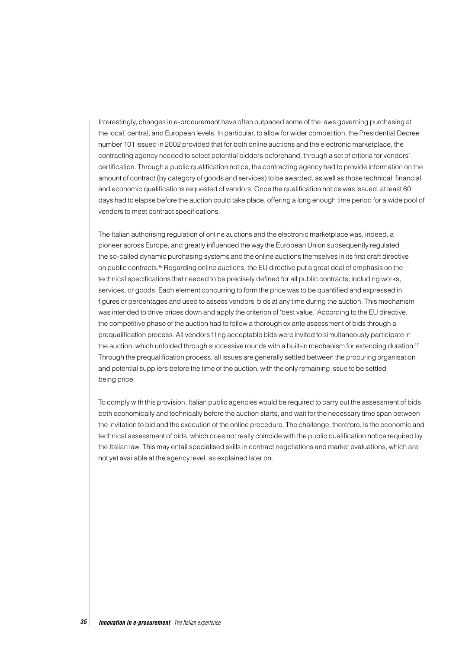Interestingly, changes in e-procurement have often outpaced some of the laws governing purchasing at the local, central, and European levels. In particular, to allow for wider competition, the Presidential Decree number 101 issued in 2002 provided that for both online auctions and the electronic marketplace, the contracting agency needed to select potential bidders beforehand, through a set of criteria for vendors' certification. Through a public qualification notice, the contracting agency had to provide information on the amount of contract (by category of goods and services) to be awarded, as well as those technical, financial, and economic qualifications requested of vendors. Once the qualification notice was issued, at least 60 days had to elapse before the auction could take place, offering a long enough time period for a wide pool of vendors to meet contract specifications.

The Italian authorising regulation of online auctions and the electronic marketplace was, indeed, a pioneer across Europe, and greatly influenced the way the European Union subsequently regulated the so-called dynamic purchasing systems and the online auctions themselves in its first draft directive on public contracts.16 Regarding online auctions, the EU directive put a great deal of emphasis on the technical specifications that needed to be precisely defined for all public contracts, including works, services, or goods. Each element concurring to form the price was to be quantified and expressed in figures or percentages and used to assess vendors' bids at any time during the auction. This mechanism was intended to drive prices down and apply the criterion of 'best value.' According to the EU directive, the competitive phase of the auction had to follow a thorough ex ante assessment of bids through a prequalification process. All vendors filing acceptable bids were invited to simultaneously participate in the auction, which unfolded through successive rounds with a built-in mechanism for extending duration.<sup>17</sup> Through the prequalification process, all issues are generally settled between the procuring organisation and potential suppliers before the time of the auction, with the only remaining issue to be settled being price.

To comply with this provision, Italian public agencies would be required to carry out the assessment of bids both economically and technically before the auction starts, and wait for the necessary time span between the invitation to bid and the execution of the online procedure. The challenge, therefore, is the economic and technical assessment of bids, which does not really coincide with the public qualification notice required by the Italian law. This may entail specialised skills in contract negotiations and market evaluations, which are not yet available at the agency level, as explained later on.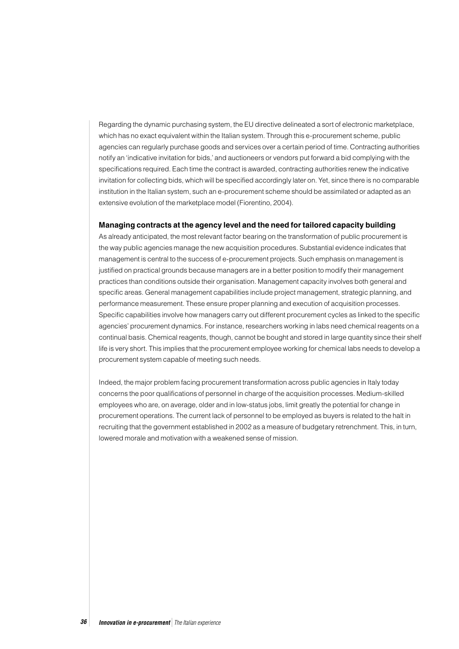Regarding the dynamic purchasing system, the EU directive delineated a sort of electronic marketplace, which has no exact equivalent within the Italian system. Through this e-procurement scheme, public agencies can regularly purchase goods and services over a certain period of time. Contracting authorities notify an 'indicative invitation for bids,' and auctioneers or vendors put forward a bid complying with the specifications required. Each time the contract is awarded, contracting authorities renew the indicative invitation for collecting bids, which will be specified accordingly later on. Yet, since there is no comparable institution in the Italian system, such an e-procurement scheme should be assimilated or adapted as an extensive evolution of the marketplace model (Fiorentino, 2004).

#### **Managing contracts at the agency level and the need for tailored capacity building**

As already anticipated, the most relevant factor bearing on the transformation of public procurement is the way public agencies manage the new acquisition procedures. Substantial evidence indicates that management is central to the success of e-procurement projects. Such emphasis on management is justified on practical grounds because managers are in a better position to modify their management practices than conditions outside their organisation. Management capacity involves both general and specific areas. General management capabilities include project management, strategic planning, and performance measurement. These ensure proper planning and execution of acquisition processes. Specific capabilities involve how managers carry out different procurement cycles as linked to the specific agencies' procurement dynamics. For instance, researchers working in labs need chemical reagents on a continual basis. Chemical reagents, though, cannot be bought and stored in large quantity since their shelf life is very short. This implies that the procurement employee working for chemical labs needs to develop a procurement system capable of meeting such needs.

Indeed, the major problem facing procurement transformation across public agencies in Italy today concerns the poor qualifications of personnel in charge of the acquisition processes. Medium-skilled employees who are, on average, older and in low-status jobs, limit greatly the potential for change in procurement operations. The current lack of personnel to be employed as buyers is related to the halt in recruiting that the government established in 2002 as a measure of budgetary retrenchment. This, in turn, lowered morale and motivation with a weakened sense of mission.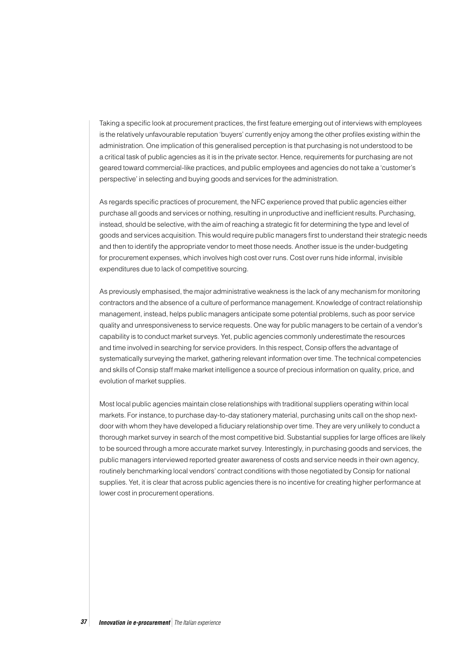Taking a specific look at procurement practices, the first feature emerging out of interviews with employees is the relatively unfavourable reputation 'buyers' currently enjoy among the other profiles existing within the administration. One implication of this generalised perception is that purchasing is not understood to be a critical task of public agencies as it is in the private sector. Hence, requirements for purchasing are not geared toward commercial-like practices, and public employees and agencies do not take a 'customer's perspective' in selecting and buying goods and services for the administration.

As regards specific practices of procurement, the NFC experience proved that public agencies either purchase all goods and services or nothing, resulting in unproductive and inefficient results. Purchasing, instead, should be selective, with the aim of reaching a strategic fit for determining the type and level of goods and services acquisition. This would require public managers first to understand their strategic needs and then to identify the appropriate vendor to meet those needs. Another issue is the under-budgeting for procurement expenses, which involves high cost over runs. Cost over runs hide informal, invisible expenditures due to lack of competitive sourcing.

As previously emphasised, the major administrative weakness is the lack of any mechanism for monitoring contractors and the absence of a culture of performance management. Knowledge of contract relationship management, instead, helps public managers anticipate some potential problems, such as poor service quality and unresponsiveness to service requests. One way for public managers to be certain of a vendor's capability is to conduct market surveys. Yet, public agencies commonly underestimate the resources and time involved in searching for service providers. In this respect, Consip offers the advantage of systematically surveying the market, gathering relevant information over time. The technical competencies and skills of Consip staff make market intelligence a source of precious information on quality, price, and evolution of market supplies.

Most local public agencies maintain close relationships with traditional suppliers operating within local markets. For instance, to purchase day-to-day stationery material, purchasing units call on the shop nextdoor with whom they have developed a fiduciary relationship over time. They are very unlikely to conduct a thorough market survey in search of the most competitive bid. Substantial supplies for large offices are likely to be sourced through a more accurate market survey. Interestingly, in purchasing goods and services, the public managers interviewed reported greater awareness of costs and service needs in their own agency, routinely benchmarking local vendors' contract conditions with those negotiated by Consip for national supplies. Yet, it is clear that across public agencies there is no incentive for creating higher performance at lower cost in procurement operations.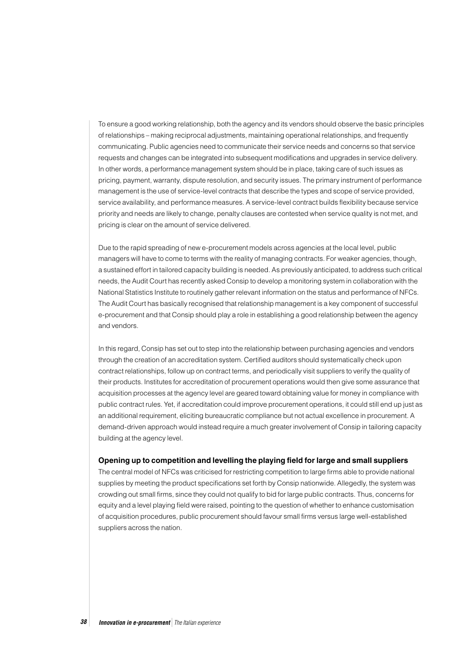To ensure a good working relationship, both the agency and its vendors should observe the basic principles of relationships – making reciprocal adjustments, maintaining operational relationships, and frequently communicating. Public agencies need to communicate their service needs and concerns so that service requests and changes can be integrated into subsequent modifications and upgrades in service delivery. In other words, a performance management system should be in place, taking care of such issues as pricing, payment, warranty, dispute resolution, and security issues. The primary instrument of performance management is the use of service-level contracts that describe the types and scope of service provided, service availability, and performance measures. A service-level contract builds flexibility because service priority and needs are likely to change, penalty clauses are contested when service quality is not met, and pricing is clear on the amount of service delivered.

Due to the rapid spreading of new e-procurement models across agencies at the local level, public managers will have to come to terms with the reality of managing contracts. For weaker agencies, though, a sustained effort in tailored capacity building is needed. As previously anticipated, to address such critical needs, the Audit Court has recently asked Consip to develop a monitoring system in collaboration with the National Statistics Institute to routinely gather relevant information on the status and performance of NFCs. The Audit Court has basically recognised that relationship management is a key component of successful e-procurement and that Consip should play a role in establishing a good relationship between the agency and vendors.

In this regard, Consip has set out to step into the relationship between purchasing agencies and vendors through the creation of an accreditation system. Certified auditors should systematically check upon contract relationships, follow up on contract terms, and periodically visit suppliers to verify the quality of their products. Institutes for accreditation of procurement operations would then give some assurance that acquisition processes at the agency level are geared toward obtaining value for money in compliance with public contract rules. Yet, if accreditation could improve procurement operations, it could still end up just as an additional requirement, eliciting bureaucratic compliance but not actual excellence in procurement. A demand-driven approach would instead require a much greater involvement of Consip in tailoring capacity building at the agency level.

#### **Opening up to competition and levelling the playing field for large and small suppliers**

The central model of NFCs was criticised for restricting competition to large firms able to provide national supplies by meeting the product specifications set forth by Consip nationwide. Allegedly, the system was crowding out small firms, since they could not qualify to bid for large public contracts. Thus, concerns for equity and a level playing field were raised, pointing to the question of whether to enhance customisation of acquisition procedures, public procurement should favour small firms versus large well-established suppliers across the nation.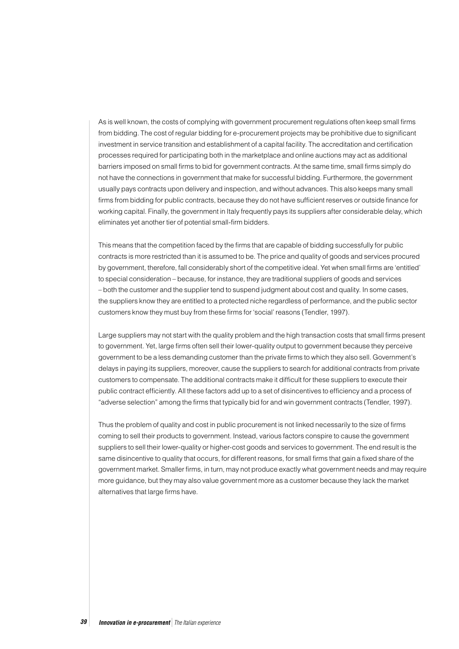As is well known, the costs of complying with government procurement regulations often keep small firms from bidding. The cost of regular bidding for e-procurement projects may be prohibitive due to significant investment in service transition and establishment of a capital facility. The accreditation and certification processes required for participating both in the marketplace and online auctions may act as additional barriers imposed on small firms to bid for government contracts. At the same time, small firms simply do not have the connections in government that make for successful bidding. Furthermore, the government usually pays contracts upon delivery and inspection, and without advances. This also keeps many small firms from bidding for public contracts, because they do not have sufficient reserves or outside finance for working capital. Finally, the government in Italy frequently pays its suppliers after considerable delay, which eliminates yet another tier of potential small-firm bidders.

This means that the competition faced by the firms that are capable of bidding successfully for public contracts is more restricted than it is assumed to be. The price and quality of goods and services procured by government, therefore, fall considerably short of the competitive ideal. Yet when small firms are 'entitled' to special consideration – because, for instance, they are traditional suppliers of goods and services – both the customer and the supplier tend to suspend judgment about cost and quality. In some cases, the suppliers know they are entitled to a protected niche regardless of performance, and the public sector customers know they must buy from these firms for 'social' reasons (Tendler, 1997).

Large suppliers may not start with the quality problem and the high transaction costs that small firms present to government. Yet, large firms often sell their lower-quality output to government because they perceive government to be a less demanding customer than the private firms to which they also sell. Government's delays in paying its suppliers, moreover, cause the suppliers to search for additional contracts from private customers to compensate. The additional contracts make it difficult for these suppliers to execute their public contract efficiently. All these factors add up to a set of disincentives to efficiency and a process of "adverse selection" among the firms that typically bid for and win government contracts (Tendler, 1997).

Thus the problem of quality and cost in public procurement is not linked necessarily to the size of firms coming to sell their products to government. Instead, various factors conspire to cause the government suppliers to sell their lower-quality or higher-cost goods and services to government. The end result is the same disincentive to quality that occurs, for different reasons, for small firms that gain a fixed share of the government market. Smaller firms, in turn, may not produce exactly what government needs and may require more guidance, but they may also value government more as a customer because they lack the market alternatives that large firms have.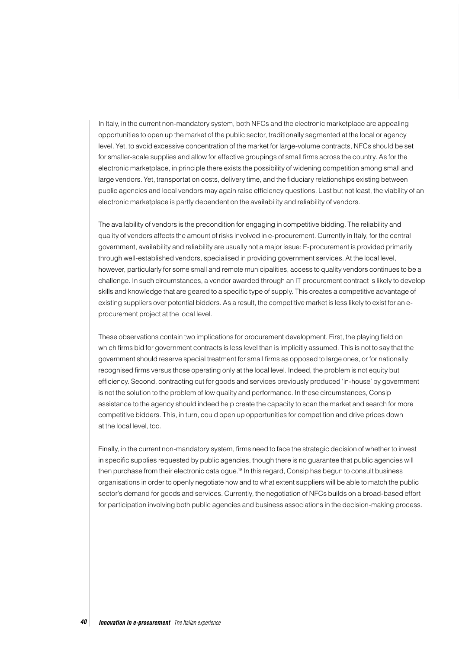In Italy, in the current non-mandatory system, both NFCs and the electronic marketplace are appealing opportunities to open up the market of the public sector, traditionally segmented at the local or agency level. Yet, to avoid excessive concentration of the market for large-volume contracts, NFCs should be set for smaller-scale supplies and allow for effective groupings of small firms across the country. As for the electronic marketplace, in principle there exists the possibility of widening competition among small and large vendors. Yet, transportation costs, delivery time, and the fiduciary relationships existing between public agencies and local vendors may again raise efficiency questions. Last but not least, the viability of an electronic marketplace is partly dependent on the availability and reliability of vendors.

The availability of vendors is the precondition for engaging in competitive bidding. The reliability and quality of vendors affects the amount of risks involved in e-procurement. Currently in Italy, for the central government, availability and reliability are usually not a major issue: E-procurement is provided primarily through well-established vendors, specialised in providing government services. At the local level, however, particularly for some small and remote municipalities, access to quality vendors continues to be a challenge. In such circumstances, a vendor awarded through an IT procurement contract is likely to develop skills and knowledge that are geared to a specific type of supply. This creates a competitive advantage of existing suppliers over potential bidders. As a result, the competitive market is less likely to exist for an eprocurement project at the local level.

These observations contain two implications for procurement development. First, the playing field on which firms bid for government contracts is less level than is implicitly assumed. This is not to say that the government should reserve special treatment for small firms as opposed to large ones, or for nationally recognised firms versus those operating only at the local level. Indeed, the problem is not equity but efficiency. Second, contracting out for goods and services previously produced 'in-house' by government is not the solution to the problem of low quality and performance. In these circumstances, Consip assistance to the agency should indeed help create the capacity to scan the market and search for more competitive bidders. This, in turn, could open up opportunities for competition and drive prices down at the local level, too.

Finally, in the current non-mandatory system, firms need to face the strategic decision of whether to invest in specific supplies requested by public agencies, though there is no guarantee that public agencies will then purchase from their electronic catalogue.18 In this regard, Consip has begun to consult business organisations in order to openly negotiate how and to what extent suppliers will be able to match the public sector's demand for goods and services. Currently, the negotiation of NFCs builds on a broad-based effort for participation involving both public agencies and business associations in the decision-making process.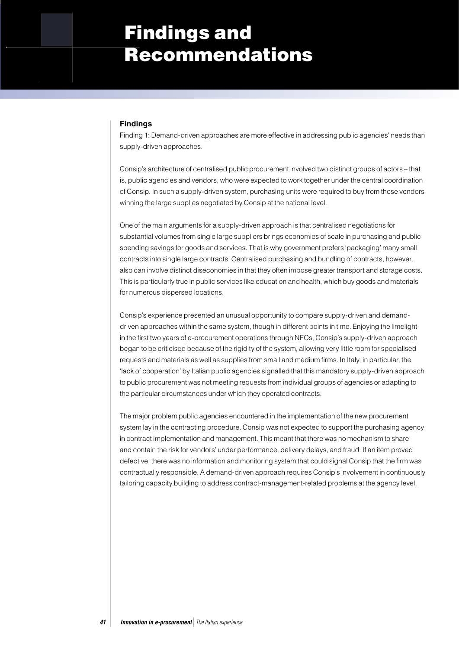# Findings and Recommendations

#### **Findings**

Finding 1: Demand-driven approaches are more effective in addressing public agencies' needs than supply-driven approaches.

Consip's architecture of centralised public procurement involved two distinct groups of actors – that is, public agencies and vendors, who were expected to work together under the central coordination of Consip. In such a supply-driven system, purchasing units were required to buy from those vendors winning the large supplies negotiated by Consip at the national level.

One of the main arguments for a supply-driven approach is that centralised negotiations for substantial volumes from single large suppliers brings economies of scale in purchasing and public spending savings for goods and services. That is why government prefers 'packaging' many small contracts into single large contracts. Centralised purchasing and bundling of contracts, however, also can involve distinct diseconomies in that they often impose greater transport and storage costs. This is particularly true in public services like education and health, which buy goods and materials for numerous dispersed locations.

Consip's experience presented an unusual opportunity to compare supply-driven and demanddriven approaches within the same system, though in different points in time. Enjoying the limelight in the first two years of e-procurement operations through NFCs, Consip's supply-driven approach began to be criticised because of the rigidity of the system, allowing very little room for specialised requests and materials as well as supplies from small and medium firms. In Italy, in particular, the 'lack of cooperation' by Italian public agencies signalled that this mandatory supply-driven approach to public procurement was not meeting requests from individual groups of agencies or adapting to the particular circumstances under which they operated contracts.

The major problem public agencies encountered in the implementation of the new procurement system lay in the contracting procedure. Consip was not expected to support the purchasing agency in contract implementation and management. This meant that there was no mechanism to share and contain the risk for vendors' under performance, delivery delays, and fraud. If an item proved defective, there was no information and monitoring system that could signal Consip that the firm was contractually responsible. A demand-driven approach requires Consip's involvement in continuously tailoring capacity building to address contract-management-related problems at the agency level.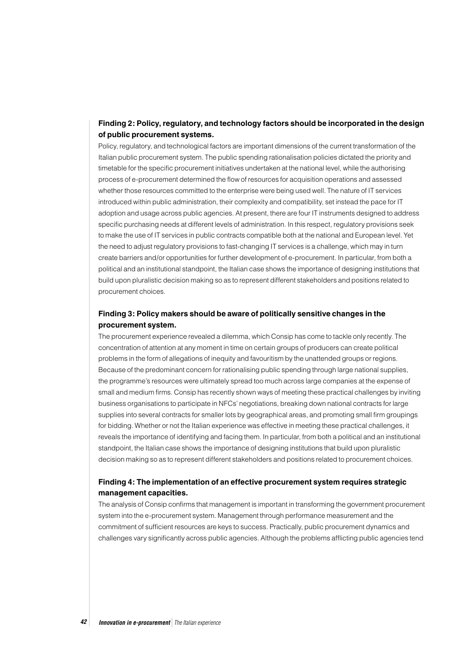## **Finding 2: Policy, regulatory, and technology factors should be incorporated in the design of public procurement systems.**

Policy, regulatory, and technological factors are important dimensions of the current transformation of the Italian public procurement system. The public spending rationalisation policies dictated the priority and timetable for the specific procurement initiatives undertaken at the national level, while the authorising process of e-procurement determined the flow of resources for acquisition operations and assessed whether those resources committed to the enterprise were being used well. The nature of IT services introduced within public administration, their complexity and compatibility, set instead the pace for IT adoption and usage across public agencies. At present, there are four IT instruments designed to address specific purchasing needs at different levels of administration. In this respect, regulatory provisions seek to make the use of IT services in public contracts compatible both at the national and European level. Yet the need to adjust regulatory provisions to fast-changing IT services is a challenge, which may in turn create barriers and/or opportunities for further development of e-procurement. In particular, from both a political and an institutional standpoint, the Italian case shows the importance of designing institutions that build upon pluralistic decision making so as to represent different stakeholders and positions related to procurement choices.

## **Finding 3: Policy makers should be aware of politically sensitive changes in the procurement system.**

The procurement experience revealed a dilemma, which Consip has come to tackle only recently. The concentration of attention at any moment in time on certain groups of producers can create political problems in the form of allegations of inequity and favouritism by the unattended groups or regions. Because of the predominant concern for rationalising public spending through large national supplies, the programme's resources were ultimately spread too much across large companies at the expense of small and medium firms. Consip has recently shown ways of meeting these practical challenges by inviting business organisations to participate in NFCs' negotiations, breaking down national contracts for large supplies into several contracts for smaller lots by geographical areas, and promoting small firm groupings for bidding. Whether or not the Italian experience was effective in meeting these practical challenges, it reveals the importance of identifying and facing them. In particular, from both a political and an institutional standpoint, the Italian case shows the importance of designing institutions that build upon pluralistic decision making so as to represent different stakeholders and positions related to procurement choices.

### **Finding 4: The implementation of an effective procurement system requires strategic management capacities.**

The analysis of Consip confirms that management is important in transforming the government procurement system into the e-procurement system. Management through performance measurement and the commitment of sufficient resources are keys to success. Practically, public procurement dynamics and challenges vary significantly across public agencies. Although the problems afflicting public agencies tend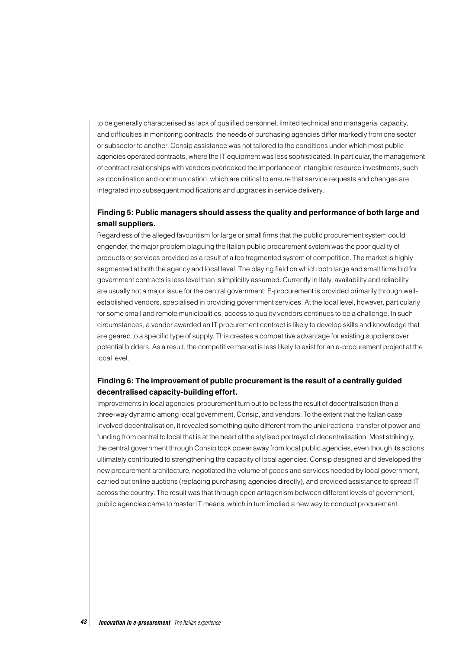to be generally characterised as lack of qualified personnel, limited technical and managerial capacity, and difficulties in monitoring contracts, the needs of purchasing agencies differ markedly from one sector or subsector to another. Consip assistance was not tailored to the conditions under which most public agencies operated contracts, where the IT equipment was less sophisticated. In particular, the management of contract relationships with vendors overlooked the importance of intangible resource investments, such as coordination and communication, which are critical to ensure that service requests and changes are integrated into subsequent modifications and upgrades in service delivery.

## **Finding 5: Public managers should assess the quality and performance of both large and small suppliers.**

Regardless of the alleged favouritism for large or small firms that the public procurement system could engender, the major problem plaguing the Italian public procurement system was the poor quality of products or services provided as a result of a too fragmented system of competition. The market is highly segmented at both the agency and local level. The playing field on which both large and small firms bid for government contracts is less level than is implicitly assumed. Currently in Italy, availability and reliability are usually not a major issue for the central government: E-procurement is provided primarily through wellestablished vendors, specialised in providing government services. At the local level, however, particularly for some small and remote municipalities, access to quality vendors continues to be a challenge. In such circumstances, a vendor awarded an IT procurement contract is likely to develop skills and knowledge that are geared to a specific type of supply. This creates a competitive advantage for existing suppliers over potential bidders. As a result, the competitive market is less likely to exist for an e-procurement project at the local level.

## **Finding 6: The improvement of public procurement is the result of a centrally guided decentralised capacity-building effort.**

Improvements in local agencies' procurement turn out to be less the result of decentralisation than a three-way dynamic among local government, Consip, and vendors. To the extent that the Italian case involved decentralisation, it revealed something quite different from the unidirectional transfer of power and funding from central to local that is at the heart of the stylised portrayal of decentralisation. Most strikingly, the central government through Consip took power away from local public agencies, even though its actions ultimately contributed to strengthening the capacity of local agencies. Consip designed and developed the new procurement architecture, negotiated the volume of goods and services needed by local government, carried out online auctions (replacing purchasing agencies directly), and provided assistance to spread IT across the country. The result was that through open antagonism between different levels of government, public agencies came to master IT means, which in turn implied a new way to conduct procurement.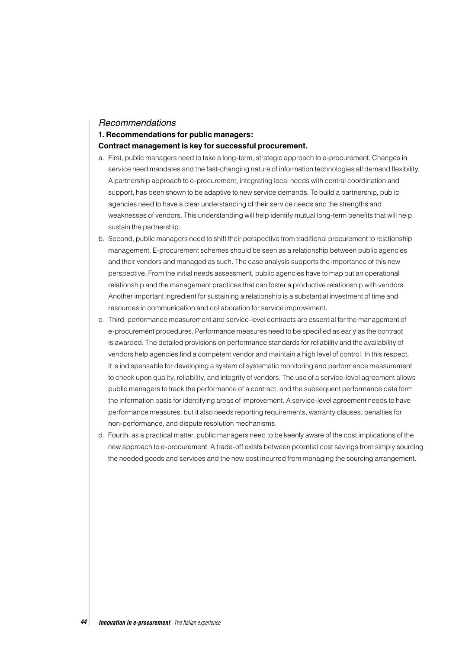#### Recommendations

#### **1. Recommendations for public managers:**

#### **Contract management is key for successful procurement.**

- a. First, public managers need to take a long-term, strategic approach to e-procurement. Changes in service need mandates and the fast-changing nature of information technologies all demand flexibility. A partnership approach to e-procurement, integrating local needs with central coordination and support, has been shown to be adaptive to new service demands. To build a partnership, public agencies need to have a clear understanding of their service needs and the strengths and weaknesses of vendors. This understanding will help identify mutual long-term benefits that will help sustain the partnership.
- b. Second, public managers need to shift their perspective from traditional procurement to relationship management. E-procurement schemes should be seen as a relationship between public agencies and their vendors and managed as such. The case analysis supports the importance of this new perspective. From the initial needs assessment, public agencies have to map out an operational relationship and the management practices that can foster a productive relationship with vendors. Another important ingredient for sustaining a relationship is a substantial investment of time and resources in communication and collaboration for service improvement.
- c. Third, performance measurement and service-level contracts are essential for the management of e-procurement procedures. Performance measures need to be specified as early as the contract is awarded. The detailed provisions on performance standards for reliability and the availability of vendors help agencies find a competent vendor and maintain a high level of control. In this respect, it is indispensable for developing a system of systematic monitoring and performance measurement to check upon quality, reliability, and integrity of vendors. The use of a service-level agreement allows public managers to track the performance of a contract, and the subsequent performance data form the information basis for identifying areas of improvement. A service-level agreement needs to have performance measures, but it also needs reporting requirements, warranty clauses, penalties for non-performance, and dispute resolution mechanisms.
- d. Fourth, as a practical matter, public managers need to be keenly aware of the cost implications of the new approach to e-procurement. A trade-off exists between potential cost savings from simply sourcing the needed goods and services and the new cost incurred from managing the sourcing arrangement.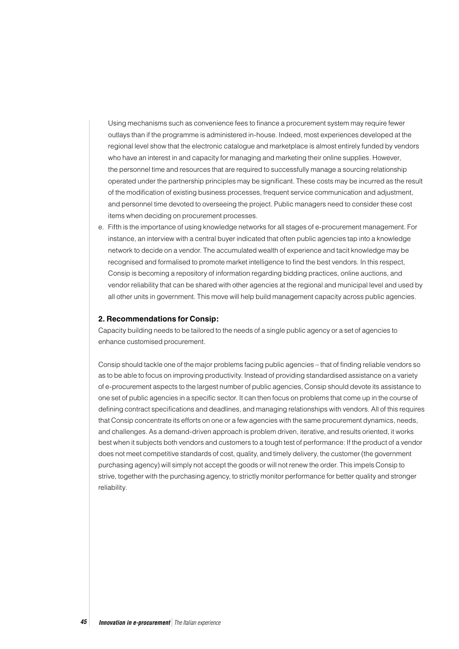Using mechanisms such as convenience fees to finance a procurement system may require fewer outlays than if the programme is administered in-house. Indeed, most experiences developed at the regional level show that the electronic catalogue and marketplace is almost entirely funded by vendors who have an interest in and capacity for managing and marketing their online supplies. However, the personnel time and resources that are required to successfully manage a sourcing relationship operated under the partnership principles may be significant. These costs may be incurred as the result of the modification of existing business processes, frequent service communication and adjustment, and personnel time devoted to overseeing the project. Public managers need to consider these cost items when deciding on procurement processes.

e. Fifth is the importance of using knowledge networks for all stages of e-procurement management. For instance, an interview with a central buyer indicated that often public agencies tap into a knowledge network to decide on a vendor. The accumulated wealth of experience and tacit knowledge may be recognised and formalised to promote market intelligence to find the best vendors. In this respect, Consip is becoming a repository of information regarding bidding practices, online auctions, and vendor reliability that can be shared with other agencies at the regional and municipal level and used by all other units in government. This move will help build management capacity across public agencies.

#### **2. Recommendations for Consip:**

Capacity building needs to be tailored to the needs of a single public agency or a set of agencies to enhance customised procurement.

Consip should tackle one of the major problems facing public agencies – that of finding reliable vendors so as to be able to focus on improving productivity. Instead of providing standardised assistance on a variety of e-procurement aspects to the largest number of public agencies, Consip should devote its assistance to one set of public agencies in a specific sector. It can then focus on problems that come up in the course of defining contract specifications and deadlines, and managing relationships with vendors. All of this requires that Consip concentrate its efforts on one or a few agencies with the same procurement dynamics, needs, and challenges. As a demand-driven approach is problem driven, iterative, and results oriented, it works best when it subjects both vendors and customers to a tough test of performance: If the product of a vendor does not meet competitive standards of cost, quality, and timely delivery, the customer (the government purchasing agency) will simply not accept the goods or will not renew the order. This impels Consip to strive, together with the purchasing agency, to strictly monitor performance for better quality and stronger reliability.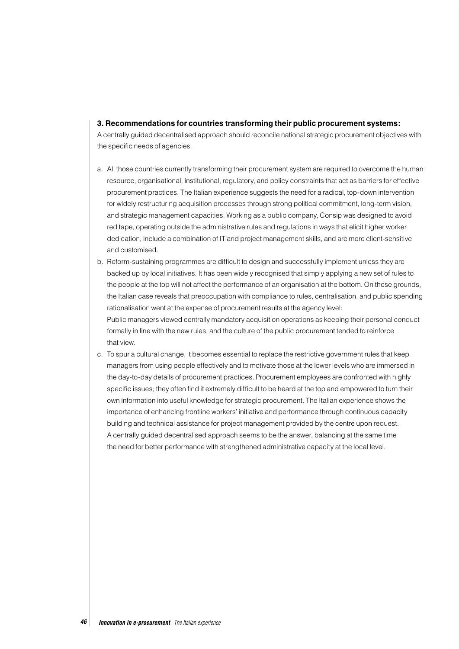#### **3. Recommendations for countries transforming their public procurement systems:**

A centrally guided decentralised approach should reconcile national strategic procurement objectives with the specific needs of agencies.

- a. All those countries currently transforming their procurement system are required to overcome the human resource, organisational, institutional, regulatory, and policy constraints that act as barriers for effective procurement practices. The Italian experience suggests the need for a radical, top-down intervention for widely restructuring acquisition processes through strong political commitment, long-term vision, and strategic management capacities. Working as a public company, Consip was designed to avoid red tape, operating outside the administrative rules and regulations in ways that elicit higher worker dedication, include a combination of IT and project management skills, and are more client-sensitive and customised.
- b. Reform-sustaining programmes are difficult to design and successfully implement unless they are backed up by local initiatives. It has been widely recognised that simply applying a new set of rules to the people at the top will not affect the performance of an organisation at the bottom. On these grounds, the Italian case reveals that preoccupation with compliance to rules, centralisation, and public spending rationalisation went at the expense of procurement results at the agency level: Public managers viewed centrally mandatory acquisition operations as keeping their personal conduct formally in line with the new rules, and the culture of the public procurement tended to reinforce that view.
- c. To spur a cultural change, it becomes essential to replace the restrictive government rules that keep managers from using people effectively and to motivate those at the lower levels who are immersed in the day-to-day details of procurement practices. Procurement employees are confronted with highly specific issues; they often find it extremely difficult to be heard at the top and empowered to turn their own information into useful knowledge for strategic procurement. The Italian experience shows the importance of enhancing frontline workers' initiative and performance through continuous capacity building and technical assistance for project management provided by the centre upon request. A centrally guided decentralised approach seems to be the answer, balancing at the same time the need for better performance with strengthened administrative capacity at the local level.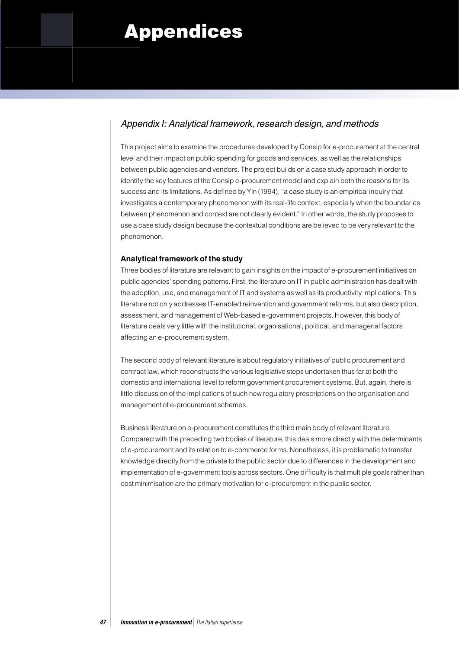# Appendices

# Appendix I: Analytical framework, research design, and methods

This project aims to examine the procedures developed by Consip for e-procurement at the central level and their impact on public spending for goods and services, as well as the relationships between public agencies and vendors. The project builds on a case study approach in order to identify the key features of the Consip e-procurement model and explain both the reasons for its success and its limitations. As defined by Yin (1994), "a case study is an empirical inquiry that investigates a contemporary phenomenon with its real-life context, especially when the boundaries between phenomenon and context are not clearly evident." In other words, the study proposes to use a case study design because the contextual conditions are believed to be very relevant to the phenomenon.

### **Analytical framework of the study**

Three bodies of literature are relevant to gain insights on the impact of e-procurement initiatives on public agencies' spending patterns. First, the literature on IT in public administration has dealt with the adoption, use, and management of IT and systems as well as its productivity implications. This literature not only addresses IT-enabled reinvention and government reforms, but also description, assessment, and management of Web-based e-government projects. However, this body of literature deals very little with the institutional, organisational, political, and managerial factors affecting an e-procurement system.

The second body of relevant literature is about regulatory initiatives of public procurement and contract law, which reconstructs the various legislative steps undertaken thus far at both the domestic and international level to reform government procurement systems. But, again, there is little discussion of the implications of such new regulatory prescriptions on the organisation and management of e-procurement schemes.

Business literature on e-procurement constitutes the third main body of relevant literature. Compared with the preceding two bodies of literature, this deals more directly with the determinants of e-procurement and its relation to e-commerce forms. Nonetheless, it is problematic to transfer knowledge directly from the private to the public sector due to differences in the development and implementation of e-government tools across sectors. One difficulty is that multiple goals rather than cost minimisation are the primary motivation for e-procurement in the public sector.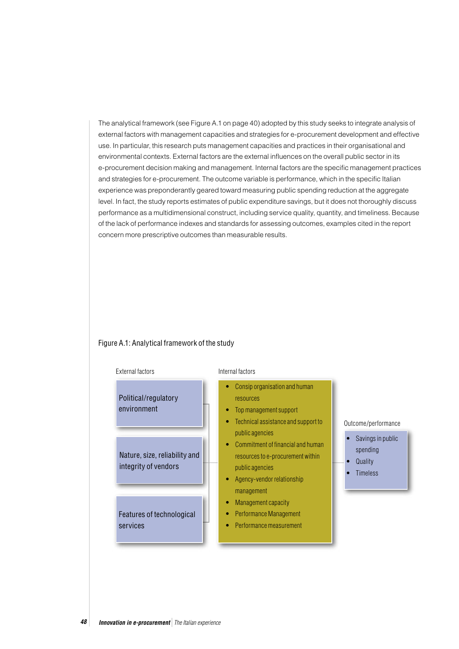The analytical framework (see Figure A.1 on page 40) adopted by this study seeks to integrate analysis of external factors with management capacities and strategies for e-procurement development and effective use. In particular, this research puts management capacities and practices in their organisational and environmental contexts. External factors are the external influences on the overall public sector in its e-procurement decision making and management. Internal factors are the specific management practices and strategies for e-procurement. The outcome variable is performance, which in the specific Italian experience was preponderantly geared toward measuring public spending reduction at the aggregate level. In fact, the study reports estimates of public expenditure savings, but it does not thoroughly discuss performance as a multidimensional construct, including service quality, quantity, and timeliness. Because of the lack of performance indexes and standards for assessing outcomes, examples cited in the report concern more prescriptive outcomes than measurable results.

#### Figure A.1: Analytical framework of the study

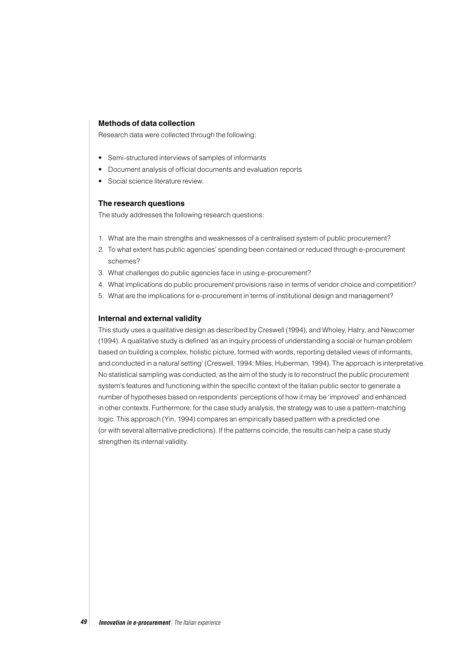#### **Methods of data collection**

Research data were collected through the following:

- Semi-structured interviews of samples of informants
- Document analysis of official documents and evaluation reports
- Social science literature review.

#### **The research questions**

The study addresses the following research questions:

- 1. What are the main strengths and weaknesses of a centralised system of public procurement?
- 2. To what extent has public agencies' spending been contained or reduced through e-procurement schemes?
- 3. What challenges do public agencies face in using e-procurement?
- 4. What implications do public procurement provisions raise in terms of vendor choice and competition?
- 5. What are the implications for e-procurement in terms of institutional design and management?

#### **Internal and external validity**

This study uses a qualitative design as described by Creswell (1994), and Wholey, Hatry, and Newcomer (1994). A qualitative study is defined 'as an inquiry process of understanding a social or human problem based on building a complex, holistic picture, formed with words, reporting detailed views of informants, and conducted in a natural setting' (Creswell, 1994; Miles, Huberman, 1994). The approach is interpretative. No statistical sampling was conducted, as the aim of the study is to reconstruct the public procurement system's features and functioning within the specific context of the Italian public sector to generate a number of hypotheses based on respondents' perceptions of how it may be 'improved' and enhanced in other contexts. Furthermore, for the case study analysis, the strategy was to use a pattern-matching logic. This approach (Yin, 1994) compares an empirically based pattern with a predicted one (or with several alternative predictions). If the patterns coincide, the results can help a case study strengthen its internal validity.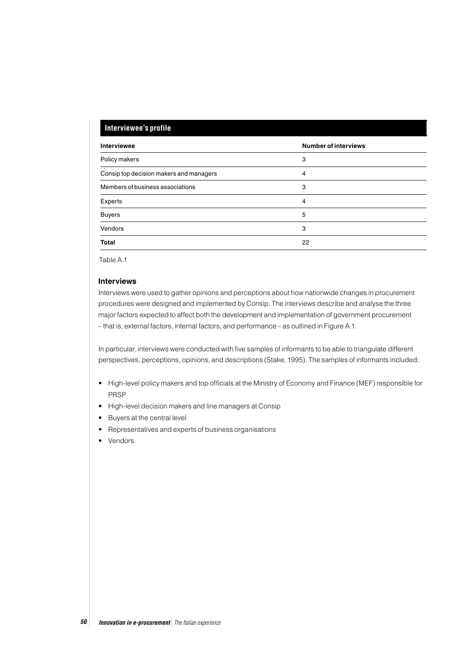### **Interviewee's profile**

| Interviewee                             | <b>Number of interviews</b> |  |
|-----------------------------------------|-----------------------------|--|
| Policy makers                           | 3                           |  |
| Consip top decision makers and managers | 4                           |  |
| Members of business associations        | 3                           |  |
| Experts                                 | 4                           |  |
| <b>Buyers</b>                           | 5                           |  |
| Vendors                                 | 3                           |  |
| <b>Total</b>                            | 22                          |  |

Table A.1

#### **Interviews**

Interviews were used to gather opinions and perceptions about how nationwide changes in procurement procedures were designed and implemented by Consip. The interviews describe and analyse the three major factors expected to affect both the development and implementation of government procurement – that is, external factors, internal factors, and performance – as outlined in Figure A.1.

In particular, interviews were conducted with five samples of informants to be able to triangulate different perspectives, perceptions, opinions, and descriptions (Stake, 1995). The samples of informants included:

- High-level policy makers and top officials at the Ministry of Economy and Finance (MEF) responsible for PRSP
- High-level decision makers and line managers at Consip
- Buyers at the central level
- Representatives and experts of business organisations
- Vendors.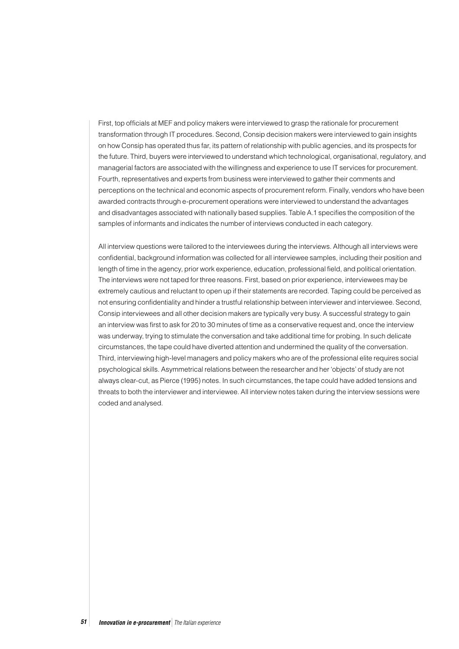First, top officials at MEF and policy makers were interviewed to grasp the rationale for procurement transformation through IT procedures. Second, Consip decision makers were interviewed to gain insights on how Consip has operated thus far, its pattern of relationship with public agencies, and its prospects for the future. Third, buyers were interviewed to understand which technological, organisational, regulatory, and managerial factors are associated with the willingness and experience to use IT services for procurement. Fourth, representatives and experts from business were interviewed to gather their comments and perceptions on the technical and economic aspects of procurement reform. Finally, vendors who have been awarded contracts through e-procurement operations were interviewed to understand the advantages and disadvantages associated with nationally based supplies. Table A.1 specifies the composition of the samples of informants and indicates the number of interviews conducted in each category.

All interview questions were tailored to the interviewees during the interviews. Although all interviews were confidential, background information was collected for all interviewee samples, including their position and length of time in the agency, prior work experience, education, professional field, and political orientation. The interviews were not taped for three reasons. First, based on prior experience, interviewees may be extremely cautious and reluctant to open up if their statements are recorded. Taping could be perceived as not ensuring confidentiality and hinder a trustful relationship between interviewer and interviewee. Second, Consip interviewees and all other decision makers are typically very busy. A successful strategy to gain an interview was first to ask for 20 to 30 minutes of time as a conservative request and, once the interview was underway, trying to stimulate the conversation and take additional time for probing. In such delicate circumstances, the tape could have diverted attention and undermined the quality of the conversation. Third, interviewing high-level managers and policy makers who are of the professional elite requires social psychological skills. Asymmetrical relations between the researcher and her 'objects' of study are not always clear-cut, as Pierce (1995) notes. In such circumstances, the tape could have added tensions and threats to both the interviewer and interviewee. All interview notes taken during the interview sessions were coded and analysed.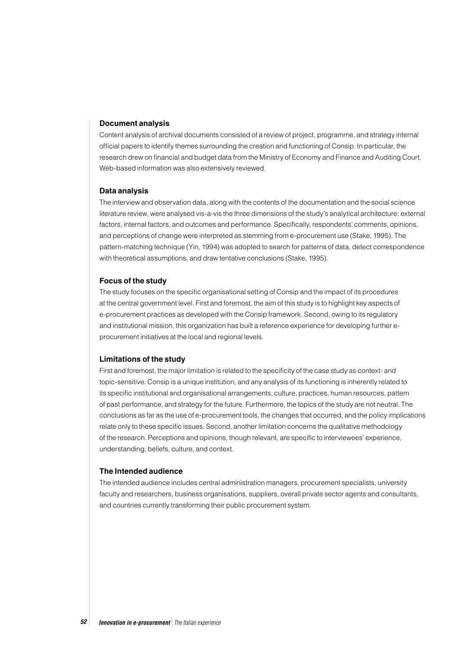#### **Document analysis**

Content analysis of archival documents consisted of a review of project, programme, and strategy internal official papers to identify themes surrounding the creation and functioning of Consip. In particular, the research drew on financial and budget data from the Ministry of Economy and Finance and Auditing Court. Web-based information was also extensively reviewed.

#### **Data analysis**

The interview and observation data, along with the contents of the documentation and the social science literature review, were analysed vis-a-vis the three dimensions of the study's analytical architecture: external factors, internal factors, and outcomes and performance. Specifically, respondents' comments, opinions, and perceptions of change were interpreted as stemming from e-procurement use (Stake, 1995). The pattern-matching technique (Yin, 1994) was adopted to search for patterns of data, detect correspondence with theoretical assumptions, and draw tentative conclusions (Stake, 1995).

#### **Focus of the study**

The study focuses on the specific organisational setting of Consip and the impact of its procedures at the central government level. First and foremost, the aim of this study is to highlight key aspects of e-procurement practices as developed with the Consip framework. Second, owing to its regulatory and institutional mission, this organization has built a reference experience for developing further eprocurement initiatives at the local and regional levels.

#### **Limitations of the study**

First and foremost, the major limitation is related to the specificity of the case study as context- and topic-sensitive. Consip is a unique institution, and any analysis of its functioning is inherently related to its specific institutional and organisational arrangements, culture, practices, human resources, pattern of past performance, and strategy for the future. Furthermore, the topics of the study are not neutral. The conclusions as far as the use of e-procurement tools, the changes that occurred, and the policy implications relate only to these specific issues. Second, another limitation concerns the qualitative methodology of the research. Perceptions and opinions, though relevant, are specific to interviewees' experience, understanding, beliefs, culture, and context.

#### **The Intended audience**

The intended audience includes central administration managers, procurement specialists, university faculty and researchers, business organisations, suppliers, overall private sector agents and consultants, and countries currently transforming their public procurement system.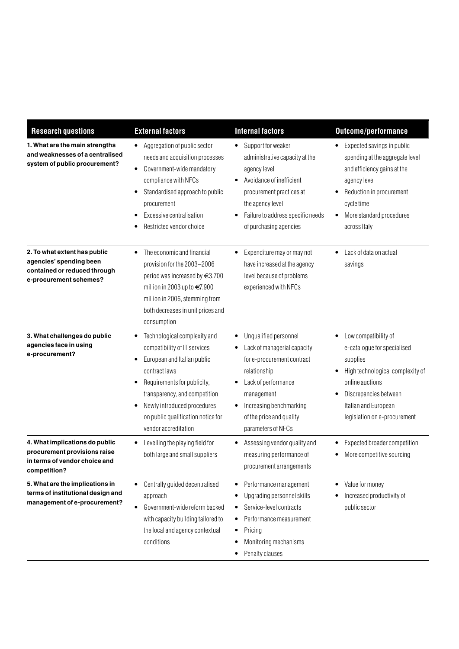| <b>Research questions</b>                                                                                         | <b>External factors</b>                                                                                                                                                                                                                                                                                       | <b>Internal factors</b>                                                                                                                                                                                                                   | <b>Outcome/performance</b>                                                                                                                                                                                           |
|-------------------------------------------------------------------------------------------------------------------|---------------------------------------------------------------------------------------------------------------------------------------------------------------------------------------------------------------------------------------------------------------------------------------------------------------|-------------------------------------------------------------------------------------------------------------------------------------------------------------------------------------------------------------------------------------------|----------------------------------------------------------------------------------------------------------------------------------------------------------------------------------------------------------------------|
| 1. What are the main strengths<br>and weaknesses of a centralised<br>system of public procurement?                | Aggregation of public sector<br>$\bullet$<br>needs and acquisition processes<br>Government-wide mandatory<br>$\bullet$<br>compliance with NFCs<br>Standardised approach to public<br>$\bullet$<br>procurement<br>Excessive centralisation<br>٠<br>Restricted vendor choice                                    | Support for weaker<br>$\bullet$<br>administrative capacity at the<br>agency level<br>Avoidance of inefficient<br>$\bullet$<br>procurement practices at<br>the agency level<br>Failure to address specific needs<br>of purchasing agencies | Expected savings in public<br>spending at the aggregate level<br>and efficiency gains at the<br>agency level<br>Reduction in procurement<br>cycle time<br>More standard procedures<br>across Italy                   |
| 2. To what extent has public<br>agencies' spending been<br>contained or reduced through<br>e-procurement schemes? | The economic and financial<br>٠<br>provision for the 2003-2006<br>period was increased by $\in$ 3.700<br>million in 2003 up to €7.900<br>million in 2006, stemming from<br>both decreases in unit prices and<br>consumption                                                                                   | Expenditure may or may not<br>$\bullet$<br>have increased at the agency<br>level because of problems<br>experienced with NFCs                                                                                                             | Lack of data on actual<br>savings                                                                                                                                                                                    |
| 3. What challenges do public<br>agencies face in using<br>e-procurement?                                          | Technological complexity and<br>٠<br>compatibility of IT services<br>European and Italian public<br>$\bullet$<br>contract laws<br>Requirements for publicity,<br>٠<br>transparency, and competition<br>Newly introduced procedures<br>$\bullet$<br>on public qualification notice for<br>vendor accreditation | Unqualified personnel<br>٠<br>Lack of managerial capacity<br>for e-procurement contract<br>relationship<br>Lack of performance<br>management<br>Increasing benchmarking<br>of the price and quality<br>parameters of NFCs                 | Low compatibility of<br>$\bullet$<br>e-catalogue for specialised<br>supplies<br>High technological complexity of<br>online auctions<br>Discrepancies between<br>Italian and European<br>legislation on e-procurement |
| 4. What implications do public<br>procurement provisions raise<br>in terms of vendor choice and<br>competition?   | Levelling the playing field for<br>٠<br>both large and small suppliers                                                                                                                                                                                                                                        | Assessing vendor quality and<br>measuring performance of<br>procurement arrangements                                                                                                                                                      | Expected broader competition<br>More competitive sourcing                                                                                                                                                            |
| 5. What are the implications in<br>terms of institutional design and<br>management of e-procurement?              | Centrally guided decentralised<br>$\bullet$<br>approach<br>Government-wide reform backed<br>$\bullet$<br>with capacity building tailored to<br>the local and agency contextual<br>conditions                                                                                                                  | Performance management<br>٠<br>Upgrading personnel skills<br>Service-level contracts<br>٠<br>Performance measurement<br>Pricing<br>٠<br>Monitoring mechanisms<br>Penalty clauses                                                          | Value for money<br>Increased productivity of<br>public sector                                                                                                                                                        |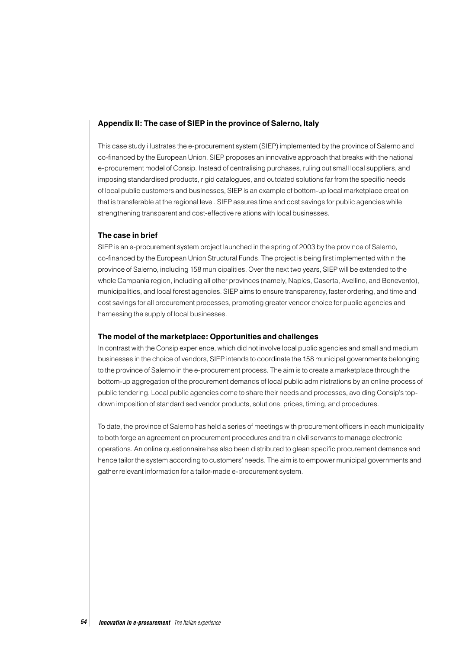#### **Appendix II: The case of SIEP in the province of Salerno, Italy**

This case study illustrates the e-procurement system (SIEP) implemented by the province of Salerno and co-financed by the European Union. SIEP proposes an innovative approach that breaks with the national e-procurement model of Consip. Instead of centralising purchases, ruling out small local suppliers, and imposing standardised products, rigid catalogues, and outdated solutions far from the specific needs of local public customers and businesses, SIEP is an example of bottom-up local marketplace creation that is transferable at the regional level. SIEP assures time and cost savings for public agencies while strengthening transparent and cost-effective relations with local businesses.

#### **The case in brief**

SIEP is an e-procurement system project launched in the spring of 2003 by the province of Salerno, co-financed by the European Union Structural Funds. The project is being first implemented within the province of Salerno, including 158 municipalities. Over the next two years, SIEP will be extended to the whole Campania region, including all other provinces (namely, Naples, Caserta, Avellino, and Benevento), municipalities, and local forest agencies. SIEP aims to ensure transparency, faster ordering, and time and cost savings for all procurement processes, promoting greater vendor choice for public agencies and harnessing the supply of local businesses.

#### **The model of the marketplace: Opportunities and challenges**

In contrast with the Consip experience, which did not involve local public agencies and small and medium businesses in the choice of vendors, SIEP intends to coordinate the 158 municipal governments belonging to the province of Salerno in the e-procurement process. The aim is to create a marketplace through the bottom-up aggregation of the procurement demands of local public administrations by an online process of public tendering. Local public agencies come to share their needs and processes, avoiding Consip's topdown imposition of standardised vendor products, solutions, prices, timing, and procedures.

To date, the province of Salerno has held a series of meetings with procurement officers in each municipality to both forge an agreement on procurement procedures and train civil servants to manage electronic operations. An online questionnaire has also been distributed to glean specific procurement demands and hence tailor the system according to customers' needs. The aim is to empower municipal governments and gather relevant information for a tailor-made e-procurement system.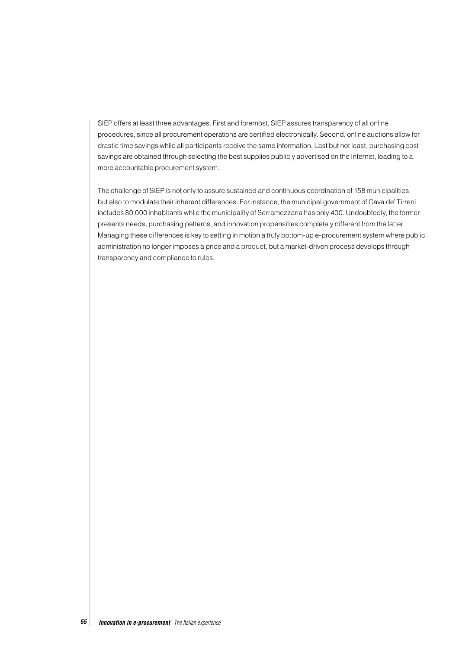SIEP offers at least three advantages. First and foremost, SIEP assures transparency of all online procedures, since all procurement operations are certified electronically. Second, online auctions allow for drastic time savings while all participants receive the same information. Last but not least, purchasing cost savings are obtained through selecting the best supplies publicly advertised on the Internet, leading to a more accountable procurement system.

The challenge of SIEP is not only to assure sustained and continuous coordination of 158 municipalities, but also to modulate their inherent differences. For instance, the municipal government of Cava de' Tirreni includes 80,000 inhabitants while the municipality of Serramezzana has only 400. Undoubtedly, the former presents needs, purchasing patterns, and innovation propensities completely different from the latter. Managing these differences is key to setting in motion a truly bottom-up e-procurement system where public administration no longer imposes a price and a product, but a market-driven process develops through transparency and compliance to rules.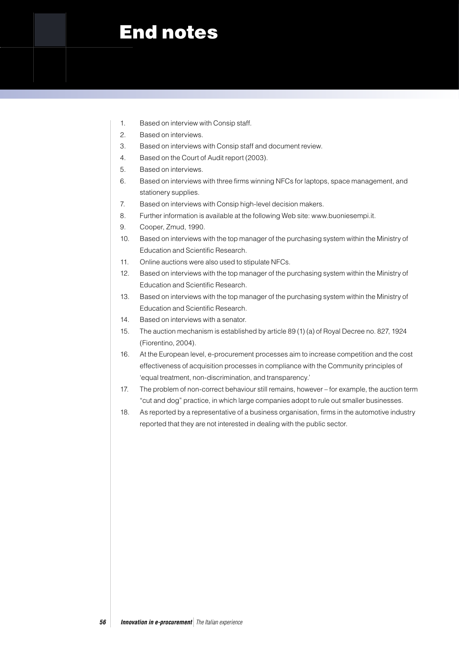# End notes

- 1. Based on interview with Consip staff.
- 2. Based on interviews.
- 3. Based on interviews with Consip staff and document review.
- 4. Based on the Court of Audit report (2003).
- 5. Based on interviews.
- 6. Based on interviews with three firms winning NFCs for laptops, space management, and stationery supplies.
- 7. Based on interviews with Consip high-level decision makers.
- 8. Further information is available at the following Web site: www.buoniesempi.it.
- 9. Cooper, Zmud, 1990.
- 10. Based on interviews with the top manager of the purchasing system within the Ministry of Education and Scientific Research.
- 11. Online auctions were also used to stipulate NFCs.
- 12. Based on interviews with the top manager of the purchasing system within the Ministry of Education and Scientific Research.
- 13. Based on interviews with the top manager of the purchasing system within the Ministry of Education and Scientific Research.
- 14. Based on interviews with a senator.
- 15. The auction mechanism is established by article 89 (1) (a) of Royal Decree no. 827, 1924 (Fiorentino, 2004).
- 16. At the European level, e-procurement processes aim to increase competition and the cost effectiveness of acquisition processes in compliance with the Community principles of 'equal treatment, non-discrimination, and transparency.'
- 17. The problem of non-correct behaviour still remains, however for example, the auction term "cut and dog" practice, in which large companies adopt to rule out smaller businesses.
- 18. As reported by a representative of a business organisation, firms in the automotive industry reported that they are not interested in dealing with the public sector.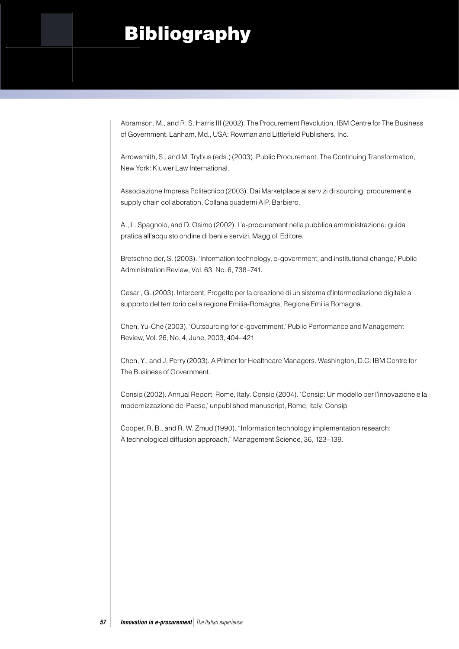# **Bibliography**

Abramson, M., and R. S. Harris III (2002). The Procurement Revolution, IBM Centre for The Business of Government. Lanham, Md., USA: Rowman and Littlefield Publishers, Inc.

Arrowsmith, S., and M. Trybus (eds.) (2003). Public Procurement. The Continuing Transformation, New York: Kluwer Law International.

Associazione Impresa Politecnico (2003). Dai Marketplace ai servizi di sourcing, procurement e supply chain collaboration, Collana quaderni AIP. Barbiero,

A., L. Spagnolo, and D. Osimo (2002). L'e-procurement nella pubblica amministrazione: guida pratica all'acquisto ondine di beni e servizi, Maggioli Editore.

Bretschneider, S. (2003). 'Information technology, e-government, and institutional change,' Public Administration Review, Vol. 63, No. 6, 738–741.

Cesari, G. (2003). Intercent, Progetto per la creazione di un sistema d'intermediazione digitale a supporto del territorio della regione Emilia-Romagna, Regione Emilia Romagna.

Chen, Yu-Che (2003). 'Outsourcing for e-government,' Public Performance and Management Review, Vol. 26, No. 4, June, 2003, 404–421.

Chen, Y., and J. Perry (2003). A Primer for Healthcare Managers. Washington, D.C: IBM Centre for The Business of Government.

Consip (2002). Annual Report, Rome, Italy. Consip (2004). 'Consip: Un modello per l'innovazione e la modernizzazione del Paese,' unpublished manuscript, Rome, Italy: Consip.

Cooper, R. B., and R. W. Zmud (1990). "Information technology implementation research: A technological diffusion approach," Management Science, 36, 123–139.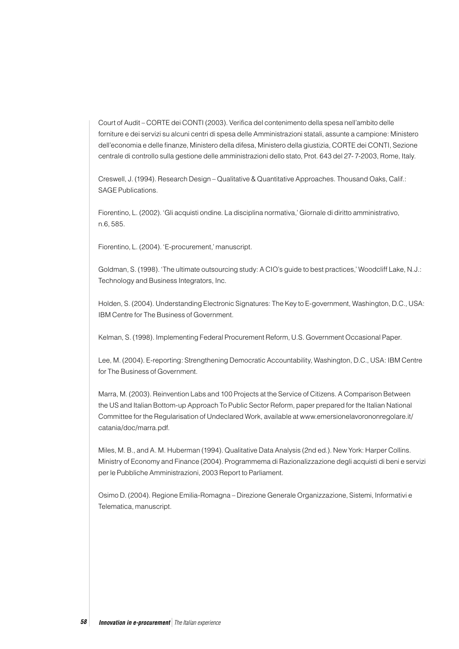Court of Audit – CORTE dei CONTI (2003). Verifica del contenimento della spesa nell'ambito delle forniture e dei servizi su alcuni centri di spesa delle Amministrazioni statali, assunte a campione: Ministero dell'economia e delle finanze, Ministero della difesa, Ministero della giustizia, CORTE dei CONTI, Sezione centrale di controllo sulla gestione delle amministrazioni dello stato, Prot. 643 del 27- 7-2003, Rome, Italy.

Creswell, J. (1994). Research Design – Qualitative & Quantitative Approaches. Thousand Oaks, Calif.: SAGE Publications.

Fiorentino, L. (2002). 'Gli acquisti ondine. La disciplina normativa,' Giornale di diritto amministrativo, n.6, 585.

Fiorentino, L. (2004). 'E-procurement,' manuscript.

Goldman, S. (1998). 'The ultimate outsourcing study: A CIO's guide to best practices,' Woodcliff Lake, N.J.: Technology and Business Integrators, Inc.

Holden, S. (2004). Understanding Electronic Signatures: The Key to E-government, Washington, D.C., USA: IBM Centre for The Business of Government.

Kelman, S. (1998). Implementing Federal Procurement Reform, U.S. Government Occasional Paper.

Lee, M. (2004). E-reporting: Strengthening Democratic Accountability, Washington, D.C., USA: IBM Centre for The Business of Government.

Marra, M. (2003). Reinvention Labs and 100 Projects at the Service of Citizens. A Comparison Between the US and Italian Bottom-up Approach To Public Sector Reform, paper prepared for the Italian National Committee for the Regularisation of Undeclared Work, available at www.emersionelavorononregolare.it/ catania/doc/marra.pdf.

Miles, M. B., and A. M. Huberman (1994). Qualitative Data Analysis (2nd ed.). New York: Harper Collins. Ministry of Economy and Finance (2004). Programmema di Razionalizzazione degli acquisti di beni e servizi per le Pubbliche Amministrazioni, 2003 Report to Parliament.

Osimo D. (2004). Regione Emilia-Romagna – Direzione Generale Organizzazione, Sistemi, Informativi e Telematica, manuscript.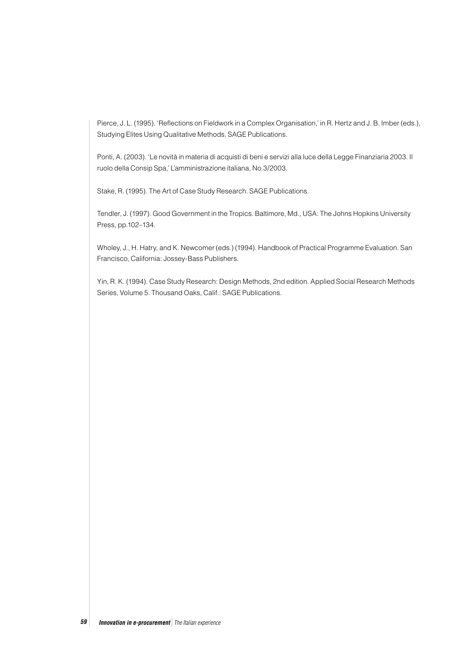Pierce, J. L. (1995). 'Reflections on Fieldwork in a Complex Organisation,' in R. Hertz and J. B. Imber (eds.), Studying Elites Using Qualitative Methods. SAGE Publications.

Ponti, A. (2003). 'Le novità in materia di acquisti di beni e servizi alla luce della Legge Finanziaria 2003. Il ruolo della Consip Spa,' L'amministrazione italiana, No.3/2003.

Stake, R. (1995). The Art of Case Study Research. SAGE Publications.

Tendler, J. (1997). Good Government in the Tropics. Baltimore, Md., USA: The Johns Hopkins University Press, pp.102–134.

Wholey, J., H. Hatry, and K. Newcomer (eds.) (1994). Handbook of Practical Programme Evaluation. San Francisco, California: Jossey-Bass Publishers.

Yin, R. K. (1994). Case Study Research: Design Methods, 2nd edition. Applied Social Research Methods Series, Volume 5. Thousand Oaks, Calif.: SAGE Publications.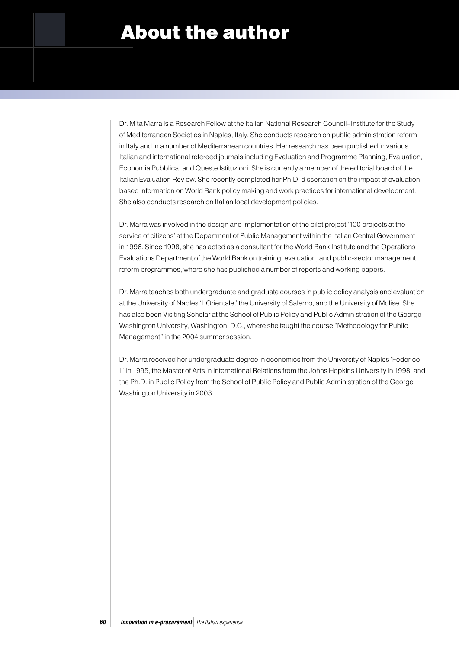# About the author

Dr. Mita Marra is a Research Fellow at the Italian National Research Council–Institute for the Study of Mediterranean Societies in Naples, Italy. She conducts research on public administration reform in Italy and in a number of Mediterranean countries. Her research has been published in various Italian and international refereed journals including Evaluation and Programme Planning, Evaluation, Economia Pubblica, and Queste Istituzioni. She is currently a member of the editorial board of the Italian Evaluation Review. She recently completed her Ph.D. dissertation on the impact of evaluationbased information on World Bank policy making and work practices for international development. She also conducts research on Italian local development policies.

Dr. Marra was involved in the design and implementation of the pilot project '100 projects at the service of citizens' at the Department of Public Management within the Italian Central Government in 1996. Since 1998, she has acted as a consultant for the World Bank Institute and the Operations Evaluations Department of the World Bank on training, evaluation, and public-sector management reform programmes, where she has published a number of reports and working papers.

Dr. Marra teaches both undergraduate and graduate courses in public policy analysis and evaluation at the University of Naples 'L'Orientale,' the University of Salerno, and the University of Molise. She has also been Visiting Scholar at the School of Public Policy and Public Administration of the George Washington University, Washington, D.C., where she taught the course "Methodology for Public Management" in the 2004 summer session.

Dr. Marra received her undergraduate degree in economics from the University of Naples 'Federico II' in 1995, the Master of Arts in International Relations from the Johns Hopkins University in 1998, and the Ph.D. in Public Policy from the School of Public Policy and Public Administration of the George Washington University in 2003.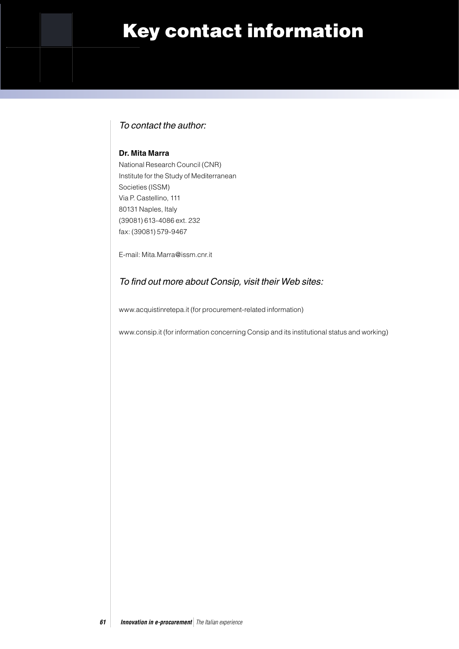# Key contact information

## To contact the author:

### **Dr. Mita Marra**

National Research Council (CNR) Institute for the Study of Mediterranean Societies (ISSM) Via P. Castellino, 111 80131 Naples, Italy (39081) 613-4086 ext. 232 fax: (39081) 579-9467

E-mail: Mita.Marra@issm.cnr.it

## To find out more about Consip, visit their Web sites:

www.acquistinretepa.it (for procurement-related information)

www.consip.it (for information concerning Consip and its institutional status and working)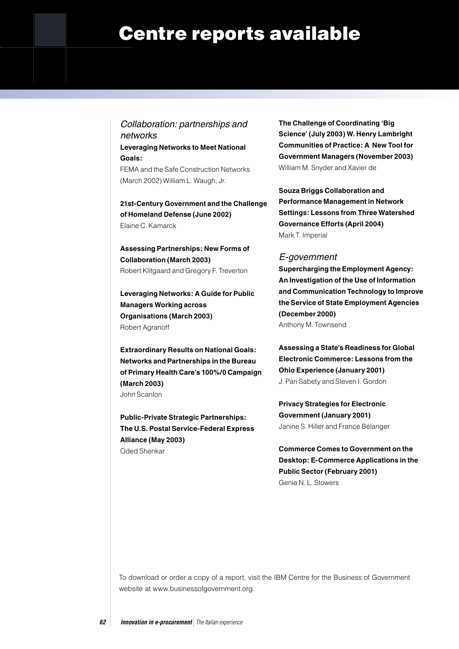# Centre reports available

Collaboration: partnerships and networks **Leveraging Networks to Meet National Goals:**  FEMA and the Safe Construction Networks (March 2002) William L. Waugh, Jr.

**21st-Century Government and the Challenge of Homeland Defense (June 2002)** Elaine C. Kamarck

**Assessing Partnerships: New Forms of Collaboration (March 2003)** Robert Klitgaard and Gregory F. Treverton

**Leveraging Networks: A Guide for Public Managers Working across Organisations (March 2003)** Robert Agranoff

**Extraordinary Results on National Goals: Networks and Partnerships in the Bureau of Primary Health Care's 100%/0 Campaign (March 2003)** John Scanlon

**Public-Private Strategic Partnerships: The U.S. Postal Service-Federal Express Alliance (May 2003)** 

Oded Shenkar

**The Challenge of Coordinating 'Big Science' (July 2003) W. Henry Lambright Communities of Practice: A New Tool for Government Managers (November 2003)**  William M. Snyder and Xavier de

**Souza Briggs Collaboration and Performance Management in Network Settings: Lessons from Three Watershed Governance Efforts (April 2004)**  Mark T. Imperial

### E-government

**Supercharging the Employment Agency: An Investigation of the Use of Information and Communication Technology to Improve the Service of State Employment Agencies (December 2000)** Anthony M. Townsend

**Assessing a State's Readiness for Global Electronic Commerce: Lessons from the Ohio Experience (January 2001)** J. Pari Sabety and Steven I. Gordon

**Privacy Strategies for Electronic Government (January 2001)** Janine S. Hiller and France Bélanger

**Commerce Comes to Government on the Desktop: E-Commerce Applications in the Public Sector (February 2001)** Genie N. L. Stowers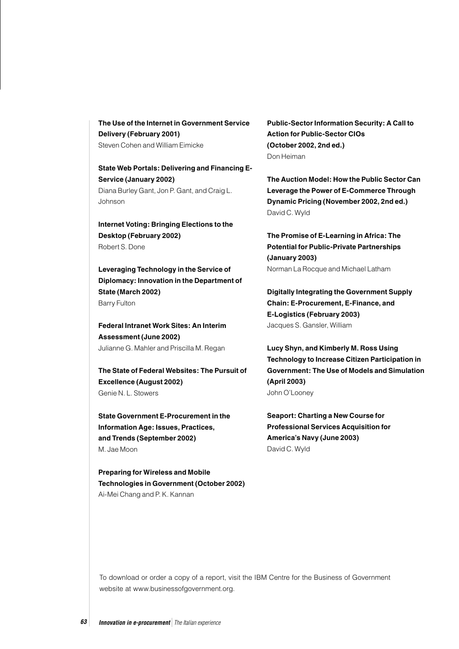**The Use of the Internet in Government Service Delivery (February 2001)** Steven Cohen and William Eimicke

**State Web Portals: Delivering and Financing E-Service (January 2002)**  Diana Burley Gant, Jon P. Gant, and Craig L. Johnson

**Internet Voting: Bringing Elections to the Desktop (February 2002)**  Robert S. Done

**Leveraging Technology in the Service of Diplomacy: Innovation in the Department of State (March 2002)** Barry Fulton

**Federal Intranet Work Sites: An Interim Assessment (June 2002)** Julianne G. Mahler and Priscilla M. Regan

**The State of Federal Websites: The Pursuit of Excellence (August 2002)** Genie N. L. Stowers

**State Government E-Procurement in the Information Age: Issues, Practices, and Trends (September 2002)** M. Jae Moon

**Preparing for Wireless and Mobile Technologies in Government (October 2002)** Ai-Mei Chang and P. K. Kannan

**Public-Sector Information Security: A Call to Action for Public-Sector CIOs (October 2002, 2nd ed.)** Don Heiman

**The Auction Model: How the Public Sector Can Leverage the Power of E-Commerce Through Dynamic Pricing (November 2002, 2nd ed.)** David C. Wyld

**The Promise of E-Learning in Africa: The Potential for Public-Private Partnerships (January 2003)** Norman La Rocque and Michael Latham

**Digitally Integrating the Government Supply Chain: E-Procurement, E-Finance, and E-Logistics (February 2003)** Jacques S. Gansler, William

**Lucy Shyn, and Kimberly M. Ross Using Technology to Increase Citizen Participation in Government: The Use of Models and Simulation (April 2003)** John O'Looney

**Seaport: Charting a New Course for Professional Services Acquisition for America's Navy (June 2003)** David C. Wyld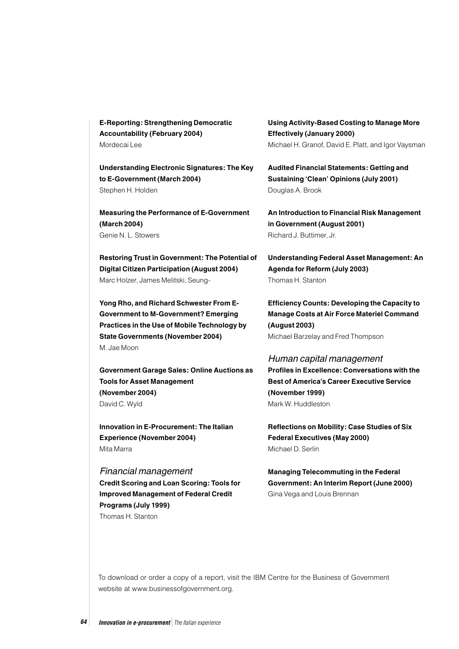**E-Reporting: Strengthening Democratic Accountability (February 2004)** Mordecai Lee

**Understanding Electronic Signatures: The Key to E-Government (March 2004)** Stephen H. Holden

**Measuring the Performance of E-Government (March 2004)** Genie N. L. Stowers

**Restoring Trust in Government: The Potential of Digital Citizen Participation (August 2004)** Marc Holzer, James Melitski, Seung-

**Yong Rho, and Richard Schwester From E-Government to M-Government? Emerging Practices in the Use of Mobile Technology by State Governments (November 2004)**  M. Jae Moon

**Government Garage Sales: Online Auctions as Tools for Asset Management (November 2004)**  David C. Wyld

**Innovation in E-Procurement: The Italian Experience (November 2004)** Mita Marra

## Financial management **Credit Scoring and Loan Scoring: Tools for Improved Management of Federal Credit Programs (July 1999)** Thomas H. Stanton

**Using Activity-Based Costing to Manage More Effectively (January 2000)** Michael H. Granof, David E. Platt, and Igor Vaysman

**Audited Financial Statements: Getting and Sustaining 'Clean' Opinions (July 2001)** Douglas A. Brook

**An Introduction to Financial Risk Management in Government (August 2001)** Richard J. Buttimer, Jr.

**Understanding Federal Asset Management: An Agenda for Reform (July 2003)** Thomas H. Stanton

**Efficiency Counts: Developing the Capacity to Manage Costs at Air Force Materiel Command (August 2003)** Michael Barzelay and Fred Thompson

### Human capital management

**Profiles in Excellence: Conversations with the Best of America's Career Executive Service (November 1999)** Mark W. Huddleston

**Reflections on Mobility: Case Studies of Six Federal Executives (May 2000)** Michael D. Serlin

**Managing Telecommuting in the Federal Government: An Interim Report (June 2000)** Gina Vega and Louis Brennan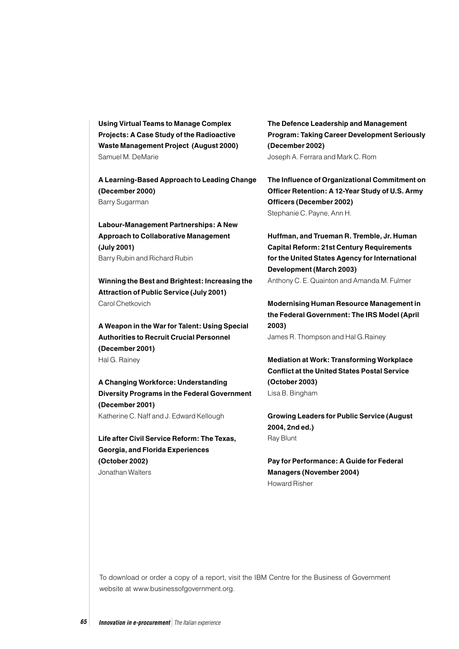**Using Virtual Teams to Manage Complex Projects: A Case Study of the Radioactive Waste Management Project (August 2000)** Samuel M. DeMarie

**A Learning-Based Approach to Leading Change (December 2000)** Barry Sugarman

**Labour-Management Partnerships: A New Approach to Collaborative Management (July 2001)** Barry Rubin and Richard Rubin

**Winning the Best and Brightest: Increasing the Attraction of Public Service (July 2001)** Carol Chetkovich

**A Weapon in the War for Talent: Using Special Authorities to Recruit Crucial Personnel (December 2001)** Hal G. Rainey

**A Changing Workforce: Understanding Diversity Programs in the Federal Government (December 2001)** Katherine C. Naff and J. Edward Kellough

**Life after Civil Service Reform: The Texas, Georgia, and Florida Experiences (October 2002)** Jonathan Walters

**The Defence Leadership and Management Program: Taking Career Development Seriously (December 2002)** Joseph A. Ferrara and Mark C. Rom

**The Influence of Organizational Commitment on Officer Retention: A 12-Year Study of U.S. Army Officers (December 2002)** Stephanie C. Payne, Ann H.

**Huffman, and Trueman R. Tremble, Jr. Human Capital Reform: 21st Century Requirements for the United States Agency for International Development (March 2003)** Anthony C. E. Quainton and Amanda M. Fulmer

**Modernising Human Resource Management in the Federal Government: The IRS Model (April 2003)** James R. Thompson and Hal G.Rainey

**Mediation at Work: Transforming Workplace Conflict at the United States Postal Service (October 2003)** Lisa B. Bingham

**Growing Leaders for Public Service (August 2004, 2nd ed.)**  Ray Blunt

**Pay for Performance: A Guide for Federal Managers (November 2004)** Howard Risher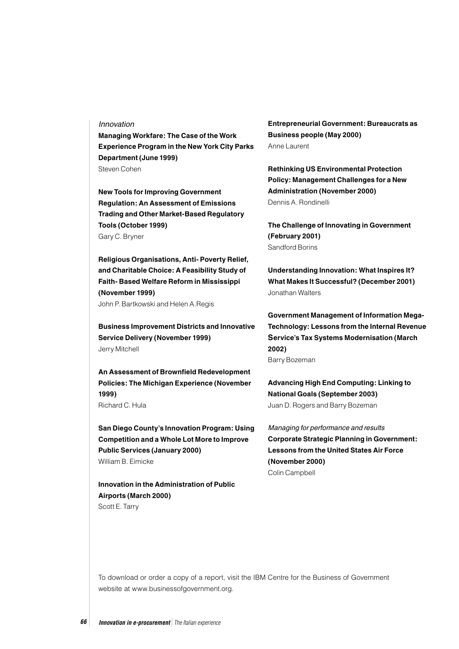#### Innovation

**Managing Workfare: The Case of the Work Experience Program in the New York City Parks Department (June 1999)** Steven Cohen

**New Tools for Improving Government Regulation: An Assessment of Emissions Trading and Other Market-Based Regulatory Tools (October 1999)** Gary C. Bryner

**Religious Organisations, Anti- Poverty Relief, and Charitable Choice: A Feasibility Study of Faith- Based Welfare Reform in Mississippi (November 1999)** John P. Bartkowski and Helen A.Regis

**Business Improvement Districts and Innovative Service Delivery (November 1999)** Jerry Mitchell

**An Assessment of Brownfield Redevelopment Policies: The Michigan Experience (November 1999)**

Richard C. Hula

**San Diego County's Innovation Program: Using Competition and a Whole Lot More to Improve Public Services (January 2000)** William B. Eimicke

**Innovation in the Administration of Public Airports (March 2000)** Scott E. Tarry

**Entrepreneurial Government: Bureaucrats as Business people (May 2000)** Anne Laurent

**Rethinking US Environmental Protection Policy: Management Challenges for a New Administration (November 2000)** Dennis A. Rondinelli

**The Challenge of Innovating in Government (February 2001)** Sandford Borins

**Understanding Innovation: What Inspires It? What Makes It Successful? (December 2001)** Jonathan Walters

**Government Management of Information Mega-Technology: Lessons from the Internal Revenue Service's Tax Systems Modernisation (March 2002)** Barry Bozeman

**Advancing High End Computing: Linking to National Goals (September 2003)** Juan D. Rogers and Barry Bozeman

Managing for performance and results **Corporate Strategic Planning in Government: Lessons from the United States Air Force (November 2000)** Colin Campbell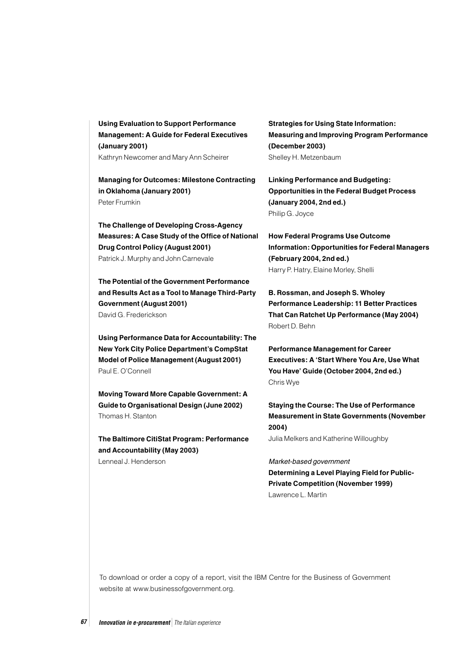**Using Evaluation to Support Performance Management: A Guide for Federal Executives (January 2001)** Kathryn Newcomer and Mary Ann Scheirer

**Managing for Outcomes: Milestone Contracting in Oklahoma (January 2001)**  Peter Frumkin

**The Challenge of Developing Cross-Agency Measures: A Case Study of the Office of National Drug Control Policy (August 2001)** Patrick J. Murphy and John Carnevale

**The Potential of the Government Performance and Results Act as a Tool to Manage Third-Party Government (August 2001)** David G. Frederickson

**Using Performance Data for Accountability: The New York City Police Department's CompStat Model of Police Management (August 2001)** Paul E. O'Connell

**Moving Toward More Capable Government: A Guide to Organisational Design (June 2002)** Thomas H. Stanton

**The Baltimore CitiStat Program: Performance and Accountability (May 2003)**

Lenneal J. Henderson

**Strategies for Using State Information: Measuring and Improving Program Performance (December 2003)** Shelley H. Metzenbaum

**Linking Performance and Budgeting: Opportunities in the Federal Budget Process (January 2004, 2nd ed.)** Philip G. Joyce

**How Federal Programs Use Outcome Information: Opportunities for Federal Managers (February 2004, 2nd ed.)** Harry P. Hatry, Elaine Morley, Shelli

**B. Rossman, and Joseph S. Wholey Performance Leadership: 11 Better Practices That Can Ratchet Up Performance (May 2004)** Robert D. Behn

**Performance Management for Career Executives: A 'Start Where You Are, Use What You Have' Guide (October 2004, 2nd ed.)** Chris Wye

**Staying the Course: The Use of Performance Measurement in State Governments (November 2004)**

Julia Melkers and Katherine Willoughby

Market-based government **Determining a Level Playing Field for Public-Private Competition (November 1999)** Lawrence L. Martin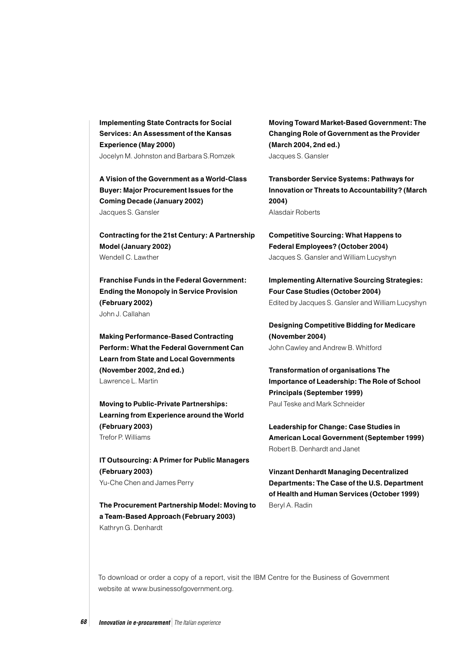**Implementing State Contracts for Social Services: An Assessment of the Kansas Experience (May 2000)** Jocelyn M. Johnston and Barbara S.Romzek

**A Vision of the Government as a World-Class Buyer: Major Procurement Issues for the Coming Decade (January 2002)** Jacques S. Gansler

**Contracting for the 21st Century: A Partnership Model (January 2002)** Wendell C. Lawther

**Franchise Funds in the Federal Government: Ending the Monopoly in Service Provision (February 2002)** John J. Callahan

**Making Performance-Based Contracting Perform: What the Federal Government Can Learn from State and Local Governments (November 2002, 2nd ed.)** Lawrence L. Martin

**Moving to Public-Private Partnerships: Learning from Experience around the World (February 2003)** Trefor P. Williams

**IT Outsourcing: A Primer for Public Managers (February 2003)** Yu-Che Chen and James Perry

**The Procurement Partnership Model: Moving to a Team-Based Approach (February 2003)** Kathryn G. Denhardt

**Moving Toward Market-Based Government: The Changing Role of Government as the Provider (March 2004, 2nd ed.)** Jacques S. Gansler

**Transborder Service Systems: Pathways for Innovation or Threats to Accountability? (March 2004)** Alasdair Roberts

**Competitive Sourcing: What Happens to Federal Employees? (October 2004)** Jacques S. Gansler and William Lucyshyn

**Implementing Alternative Sourcing Strategies: Four Case Studies (October 2004)** Edited by Jacques S. Gansler and William Lucyshyn

**Designing Competitive Bidding for Medicare (November 2004)** John Cawley and Andrew B. Whitford

**Transformation of organisations The Importance of Leadership: The Role of School Principals (September 1999)** Paul Teske and Mark Schneider

**Leadership for Change: Case Studies in American Local Government (September 1999)** Robert B. Denhardt and Janet

**Vinzant Denhardt Managing Decentralized Departments: The Case of the U.S. Department of Health and Human Services (October 1999)** Beryl A. Radin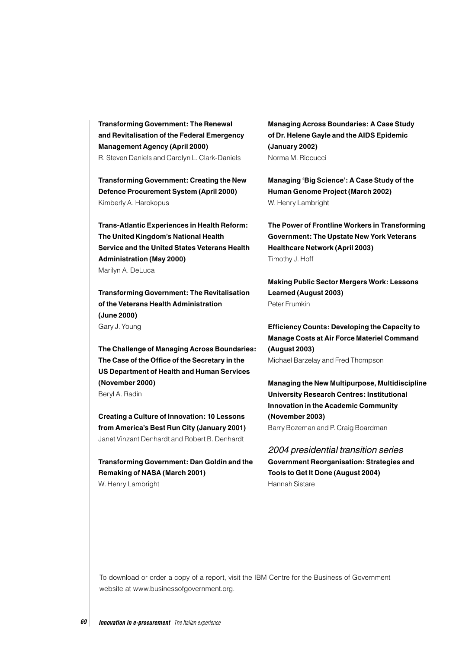**Transforming Government: The Renewal and Revitalisation of the Federal Emergency Management Agency (April 2000)** R. Steven Daniels and Carolyn L. Clark-Daniels

**Transforming Government: Creating the New Defence Procurement System (April 2000)** Kimberly A. Harokopus

**Trans-Atlantic Experiences in Health Reform: The United Kingdom's National Health Service and the United States Veterans Health Administration (May 2000)** Marilyn A. DeLuca

**Transforming Government: The Revitalisation of the Veterans Health Administration (June 2000)** Gary J. Young

**The Challenge of Managing Across Boundaries: The Case of the Office of the Secretary in the US Department of Health and Human Services (November 2000)** Beryl A. Radin

**Creating a Culture of Innovation: 10 Lessons from America's Best Run City (January 2001)** Janet Vinzant Denhardt and Robert B. Denhardt

**Transforming Government: Dan Goldin and the Remaking of NASA (March 2001)** W. Henry Lambright

**Managing Across Boundaries: A Case Study of Dr. Helene Gayle and the AIDS Epidemic (January 2002)** Norma M. Riccucci

**Managing 'Big Science': A Case Study of the Human Genome Project (March 2002)** W. Henry Lambright

**The Power of Frontline Workers in Transforming Government: The Upstate New York Veterans Healthcare Network (April 2003)** Timothy J. Hoff

**Making Public Sector Mergers Work: Lessons Learned (August 2003)** Peter Frumkin

**Efficiency Counts: Developing the Capacity to Manage Costs at Air Force Materiel Command (August 2003)** Michael Barzelay and Fred Thompson

**Managing the New Multipurpose, Multidiscipline University Research Centres: Institutional Innovation in the Academic Community (November 2003)** Barry Bozeman and P. Craig Boardman

2004 presidential transition series **Government Reorganisation: Strategies and Tools to Get It Done (August 2004)** Hannah Sistare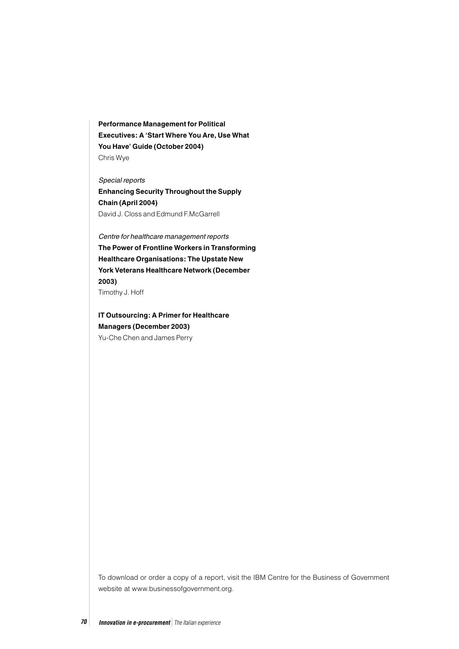**Performance Management for Political Executives: A 'Start Where You Are, Use What You Have' Guide (October 2004)** Chris Wye

Special reports **Enhancing Security Throughout the Supply Chain (April 2004)** David J. Closs and Edmund F.McGarrell

Centre for healthcare management reports **The Power of Frontline Workers in Transforming Healthcare Organisations: The Upstate New York Veterans Healthcare Network (December 2003)**

Timothy J. Hoff

**IT Outsourcing: A Primer for Healthcare Managers (December 2003)**

Yu-Che Chen and James Perry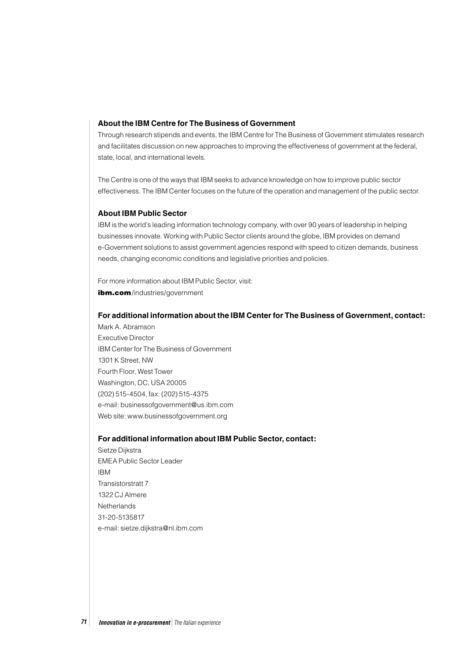#### **About the IBM Centre for The Business of Government**

Through research stipends and events, the IBM Centre for The Business of Government stimulates research and facilitates discussion on new approaches to improving the effectiveness of government at the federal, state, local, and international levels.

The Centre is one of the ways that IBM seeks to advance knowledge on how to improve public sector effectiveness. The IBM Center focuses on the future of the operation and management of the public sector.

#### **About IBM Public Sector**

IBM is the world's leading information technology company, with over 90 years of leadership in helping businesses innovate. Working with Public Sector clients around the globe, IBM provides on demand e-Government solutions to assist government agencies respond with speed to citizen demands, business needs, changing economic conditions and legislative priorities and policies.

For more information about IBM Public Sector, visit: ibm.com/industries/government

#### **For additional information about the IBM Center for The Business of Government, contact:**

Mark A. Abramson Executive Director IBM Center for The Business of Government 1301 K Street, NW Fourth Floor, West Tower Washington, DC, USA 20005 (202) 515-4504, fax: (202) 515-4375 e-mail: businessofgovernment@us.ibm.com Web site: www.businessofgovernment.org

#### **For additional information about IBM Public Sector, contact:**

Sietze Dijkstra EMEA Public Sector Leader IBM Transistorstratt 7 1322 CJ Almere **Netherlands** 31-20-5135817 e-mail: sietze.dijkstra@nl.ibm.com